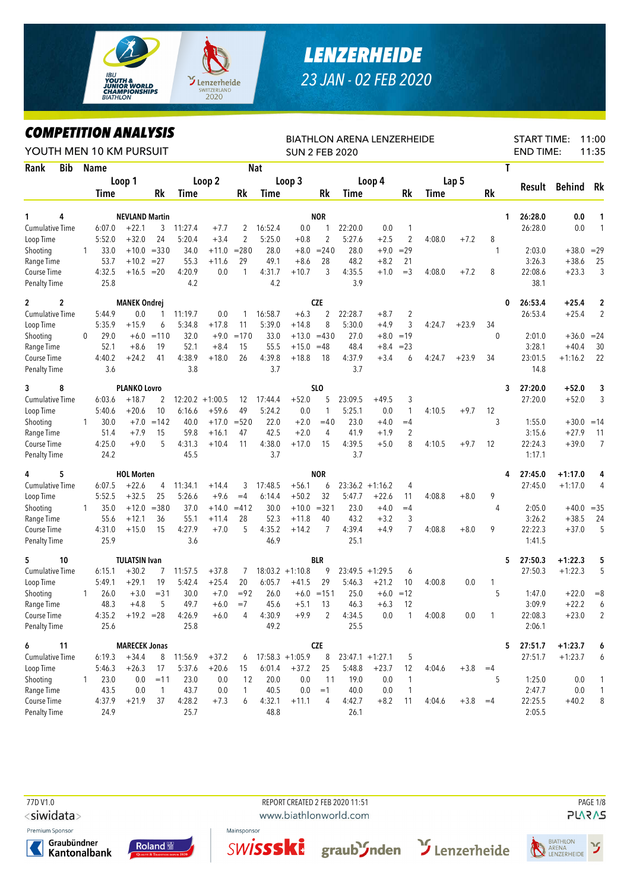

## *LENZERHEIDE 23 JAN - 02 FEB 2020*

## *COMPETITION ANALYSIS*

| LUMPEIIIIUN ANALIƏIS<br>YOUTH MEN 10 KM PURSUIT |            |              |                |                                  |                |               |                    |         |                   | <b>SUN 2 FEB 2020</b> |                            |                | <b>BIATHLON ARENA LENZERHEIDE</b> |                     |        |         |              | <b>START TIME:</b><br><b>END TIME:</b> |                        | 11:00<br>11:35    |
|-------------------------------------------------|------------|--------------|----------------|----------------------------------|----------------|---------------|--------------------|---------|-------------------|-----------------------|----------------------------|----------------|-----------------------------------|---------------------|--------|---------|--------------|----------------------------------------|------------------------|-------------------|
| Rank                                            | <b>Bib</b> |              | <b>Name</b>    |                                  |                |               |                    |         | <b>Nat</b>        |                       |                            |                |                                   |                     |        |         | Τ            |                                        |                        |                   |
|                                                 |            |              |                | Loop 1                           |                |               | Loop 2             |         |                   | Loop 3                |                            |                | Loop 4                            |                     |        | Lap 5   |              |                                        |                        |                   |
|                                                 |            |              | <b>Time</b>    |                                  | Rk             | Time          |                    | Rk      | Time              |                       | Rk                         | Time           |                                   | Rk                  | Time   |         | Rk           | Result                                 | <b>Behind</b>          | Rk                |
|                                                 | 4          |              |                |                                  |                |               |                    |         |                   |                       |                            |                |                                   |                     |        |         |              |                                        |                        |                   |
| 1<br><b>Cumulative Time</b>                     |            |              | 6:07.0         | <b>NEVLAND Martin</b><br>$+22.1$ | 3              | 11:27.4       | $+7.7$             | 2       | 16:52.4           | 0.0                   | <b>NOR</b><br>$\mathbf{1}$ | 22:20.0        | 0.0                               | 1                   |        |         | 1.           | 26:28.0<br>26:28.0                     | 0.0<br>0.0             | 1<br>$\mathbf{1}$ |
| Loop Time                                       |            |              | 5:52.0         | $+32.0$                          | 24             | 5:20.4        | $+3.4$             | 2       | 5:25.0            | $+0.8$                | 2                          | 5:27.6         | $+2.5$                            | $\overline{2}$      | 4:08.0 | $+7.2$  | 8            |                                        |                        |                   |
| Shooting                                        |            | $\mathbf{1}$ | 33.0           |                                  | $+10.0 = 330$  | 34.0          | $+11.0$            | $= 280$ | 28.0              | $+8.0$                | $= 240$                    | 28.0           | $+9.0$                            | $=29$               |        |         | 1            | 2:03.0                                 | $+38.0$                | $=29$             |
| Range Time                                      |            |              | 53.7           | $+10.2$                          | $=27$          | 55.3          | $+11.6$            | 29      | 49.1              | $+8.6$                | 28                         | 48.2           | $+8.2$                            | 21                  |        |         |              | 3:26.3                                 | $+38.6$                | 25                |
| Course Time                                     |            |              | 4:32.5         | $+16.5 = 20$                     |                | 4:20.9        | 0.0                | 1       | 4:31.7            | $+10.7$               | 3                          | 4:35.5         | $+1.0$                            | $=$ 3               | 4:08.0 | $+7.2$  | 8            | 22:08.6                                | $+23.3$                | 3                 |
| <b>Penalty Time</b>                             |            |              | 25.8           |                                  |                | 4.2           |                    |         | 4.2               |                       |                            | 3.9            |                                   |                     |        |         |              | 38.1                                   |                        |                   |
| $\mathbf{2}$                                    | 2          |              |                | <b>MANEK Ondrej</b>              |                |               |                    |         |                   |                       | <b>CZE</b>                 |                |                                   |                     |        |         | 0            | 26:53.4                                | $+25.4$                | $\boldsymbol{2}$  |
| <b>Cumulative Time</b>                          |            |              | 5:44.9         | 0.0                              | $\mathbf{1}$   | 11:19.7       | 0.0                | 1       | 16:58.7           | $+6.3$                | $\overline{2}$             | 22:28.7        | $+8.7$                            | $\overline{2}$      |        |         |              | 26:53.4                                | $+25.4$                | $\overline{2}$    |
| Loop Time                                       |            |              | 5:35.9         | $+15.9$                          | 6              | 5:34.8        | $+17.8$            | 11      | 5:39.0            | $+14.8$               | 8                          | 5:30.0         | $+4.9$                            | 3                   | 4:24.7 | $+23.9$ | 34           |                                        |                        |                   |
| Shooting                                        |            | 0            | 29.0           | $+6.0$                           | $=110$         | 32.0          | $+9.0$             | $=170$  | 33.0              | $+13.0$               | $=430$                     | 27.0           | $+8.0$                            | $=19$               |        |         | $\theta$     | 2:01.0                                 | $+36.0$                | $= 24$            |
| Range Time                                      |            |              | 52.1           | $+8.6$                           | 19             | 52.1          | $+8.4$             | 15      | 55.5              | $+15.0$               | $=48$                      | 48.4           | $+8.4$                            | $= 23$              |        |         |              | 3:28.1                                 | $+40.4$                | 30                |
| Course Time                                     |            |              | 4:40.2         | $+24.2$                          | 41             | 4:38.9        | $+18.0$            | 26      | 4:39.8            | $+18.8$               | 18                         | 4:37.9         | $+3.4$                            | 6                   | 4:24.7 | $+23.9$ | 34           | 23:01.5                                | $+1:16.2$              | 22                |
| <b>Penalty Time</b>                             |            |              | 3.6            |                                  |                | 3.8           |                    |         | 3.7               |                       |                            | 3.7            |                                   |                     |        |         |              | 14.8                                   |                        |                   |
| 3                                               | 8          |              |                | <b>PLANKO Lovro</b>              |                |               |                    |         |                   |                       | SL <sub>0</sub>            |                |                                   |                     |        |         | 3            | 27:20.0                                | $+52.0$                | 3                 |
| <b>Cumulative Time</b>                          |            |              | 6:03.6         | $+18.7$                          | 2              |               | $12:20.2 + 1:00.5$ | 12      | 17:44.4           | $+52.0$               | 5                          | 23:09.5        | $+49.5$                           | 3                   |        |         |              | 27:20.0                                | $+52.0$                | 3                 |
| Loop Time                                       |            |              | 5:40.6         | $+20.6$                          | 10             | 6:16.6        | $+59.6$            | 49      | 5:24.2            | 0.0                   | 1                          | 5:25.1         | 0.0                               | $\mathbf{1}$        | 4:10.5 | $+9.7$  | 12           |                                        |                        |                   |
| Shooting                                        |            | $\mathbf{1}$ | 30.0           | $+7.0$                           | $=142$         | 40.0          | $+17.0$            | $= 520$ | 22.0              | $+2.0$                | $=40$                      | 23.0           | $+4.0$                            | $=4$                |        |         | 3            | 1:55.0                                 | $+30.0$                | $=14$             |
| Range Time                                      |            |              | 51.4           | $+7.9$                           | 15             | 59.8          | $+16.1$            | 47      | 42.5              | $+2.0$                | 4                          | 41.9           | $+1.9$                            | 2                   |        |         |              | 3:15.6                                 | $+27.9$                | 11                |
| Course Time                                     |            |              | 4:25.0         | $+9.0$                           | 5              | 4:31.3        | $+10.4$            | 11      | 4:38.0            | $+17.0$               | 15                         | 4:39.5         | $+5.0$                            | 8                   | 4:10.5 | $+9.7$  | 12           | 22:24.3                                | $+39.0$                | $\overline{7}$    |
| <b>Penalty Time</b>                             |            |              | 24.2           |                                  |                | 45.5          |                    |         | 3.7               |                       |                            | 3.7            |                                   |                     |        |         |              | 1:17.1                                 |                        |                   |
| 4                                               | 5          |              |                | <b>HOL Morten</b>                |                |               |                    |         |                   |                       | <b>NOR</b>                 |                |                                   |                     |        |         | 4            | 27:45.0                                | $+1:17.0$              | 4                 |
| Cumulative Time                                 |            |              | 6:07.5         | $+22.6$                          | 4              | 11:34.1       | $+14.4$            | 3       | 17:48.5           | $+56.1$               | 6                          |                | $23:36.2 +1:16.2$                 | 4                   |        |         |              | 27:45.0                                | $+1:17.0$              | 4                 |
| Loop Time                                       |            |              | 5:52.5         | $+32.5$                          | 25             | 5:26.6        | $+9.6$             | $=4$    | 6:14.4            | $+50.2$               | 32                         | 5:47.7         | $+22.6$                           | 11                  | 4:08.8 | $+8.0$  | 9            |                                        |                        |                   |
| Shooting                                        |            | 1            | 35.0           | $+12.0$                          | $= 380$        | 37.0          | $+14.0$            | $= 412$ | 30.0              | $+10.0$               | $= 321$                    | 23.0           | $+4.0$                            | $=4$                |        |         | 4            | 2:05.0                                 | $+40.0$                | $=35$             |
| Range Time                                      |            |              | 55.6           | $+12.1$                          | 36             | 55.1          | $+11.4$            | 28<br>5 | 52.3              | $+11.8$               | 40<br>$\overline{7}$       | 43.2<br>4:39.4 | $+3.2$                            | 3<br>$\overline{7}$ |        |         | 9            | 3:26.2<br>22:22.3                      | $+38.5$                | 24                |
| Course Time<br><b>Penalty Time</b>              |            |              | 4:31.0<br>25.9 | $+15.0$                          | 15             | 4:27.9<br>3.6 | $+7.0$             |         | 4:35.2<br>46.9    | $+14.2$               |                            | 25.1           | $+4.9$                            |                     | 4:08.8 | $+8.0$  |              | 1:41.5                                 | $+37.0$                | 5                 |
|                                                 |            |              |                |                                  |                |               |                    |         |                   |                       |                            |                |                                   |                     |        |         |              |                                        |                        |                   |
| 5                                               | 10         |              | 6:15.1         | <b>TULATSIN Ivan</b><br>$+30.2$  | 7              | 11:57.5       | $+37.8$            |         |                   | $18:03.2 +1:10.8$     | <b>BLR</b><br>9            |                | $23:49.5 +1:29.5$                 |                     |        |         | 5            | 27:50.3<br>27:50.3                     | $+1:22.3$<br>$+1:22.3$ | 5<br>5            |
| Cumulative Time                                 |            |              | 5:49.1         | $+29.1$                          | 19             | 5:42.4        | $+25.4$            | 7<br>20 | 6:05.7            | $+41.5$               | 29                         | 5:46.3         | $+21.2$                           | 6<br>10             | 4:00.8 | 0.0     |              |                                        |                        |                   |
| Loop Time                                       |            |              | 26.0           | $+3.0$                           | $= 31$         | 30.0          | $+7.0$             | $=92$   | 26.0              |                       | $+6.0 = 151$               | 25.0           | $+6.0$                            | $=12$               |        |         | 1<br>5       | 1:47.0                                 | $+22.0$                | $= 8$             |
| Shooting<br>Range Time                          |            | 1            | 48.3           | $+4.8$                           | 5              | 49.7          | $+6.0$             | $=7$    | 45.6              | $+5.1$                | 13                         | 46.3           | $+6.3$                            | 12                  |        |         |              | 3:09.9                                 | $+22.2$                | $\sqrt{2}$        |
| Course Time                                     |            |              | 4:35.2         | $+19.2 = 28$                     |                | 4:26.9        | $+6.0$             | 4       | 4:30.9            | $+9.9$                | $\overline{2}$             | 4:34.5         | 0.0                               | 1                   | 4:00.8 | 0.0     | $\mathbf{1}$ | 22:08.3                                | $+23.0$                | 2                 |
| <b>Penalty Time</b>                             |            |              | 25.6           |                                  |                | 25.8          |                    |         | 49.2              |                       |                            | 25.5           |                                   |                     |        |         |              | 2:06.1                                 |                        |                   |
| 6                                               | 11         |              |                | <b>MARECEK Jonas</b>             |                |               |                    |         |                   |                       | <b>CZE</b>                 |                |                                   |                     |        |         | 5            | 27:51.7                                | $+1:23.7$              | 6                 |
| Cumulative Time                                 |            |              | 6:19.3         | $+34.4$                          |                | 8 11:56.9     | $+37.2$            | 6       | $17:58.3 +1:05.9$ |                       | 8                          |                | $23:47.1 + 1:27.1$                | 5                   |        |         |              | 27:51.7                                | $+1:23.7$              | 6                 |
| Loop Time                                       |            |              | 5:46.3         | $+26.3$                          | 17             | 5:37.6        | $+20.6$            | 15      | 6:01.4            | $+37.2$               | 25                         | 5:48.8         | $+23.7$                           | 12                  | 4:04.6 | $+3.8$  | $=4$         |                                        |                        |                   |
| Shooting                                        |            | 1            | 23.0           | 0.0                              | $=11$          | 23.0          | 0.0                | 12      | 20.0              | 0.0                   | 11                         | 19.0           | 0.0                               | $\mathbf{1}$        |        |         | 5            | 1:25.0                                 | 0.0                    | 1                 |
| Range Time                                      |            |              | 43.5           | 0.0                              | $\overline{1}$ | 43.7          | 0.0                | 1       | 40.5              | $0.0\,$               | $=1$                       | 40.0           | 0.0                               | $\mathbf{1}$        |        |         |              | 2:47.7                                 | 0.0                    | 1                 |
| Course Time                                     |            |              | 4:37.9         | $+21.9$                          | 37             | 4:28.2        | $+7.3$             | 6       | 4:32.1            | $+11.1$               | 4                          | 4:42.7         | $+8.2$                            | 11                  | 4:04.6 | $+3.8$  | $=4$         | 22:25.5                                | $+40.2$                | 8                 |
| Penalty Time                                    |            |              | 24.9           |                                  |                | 25.7          |                    |         | 48.8              |                       |                            | 26.1           |                                   |                     |        |         |              | 2:05.5                                 |                        |                   |

77D V1.0 REPORT CREATED 2 FEB 2020 11:51 PAGE 1/8

<siwidata>

Premium Sponsor









www.biathlonworld.com



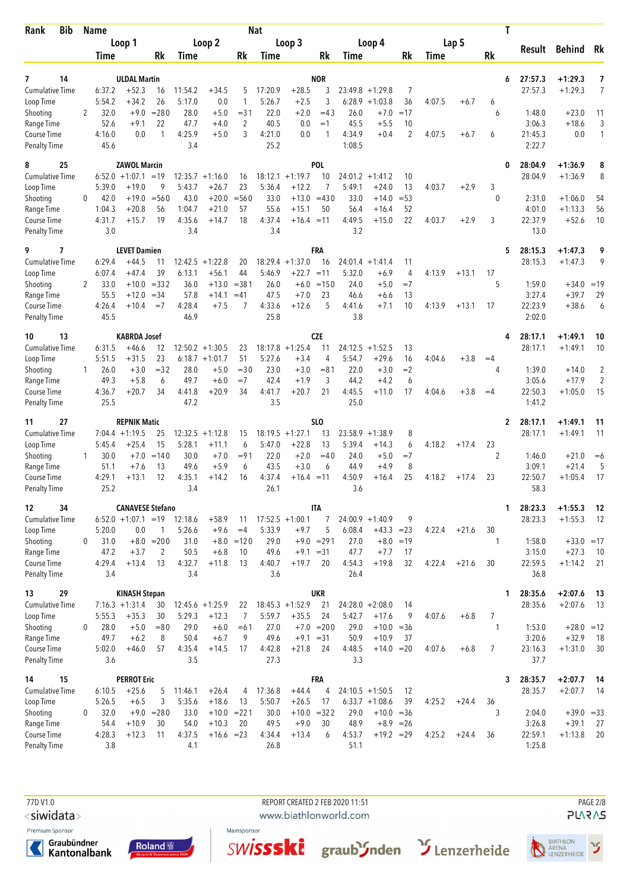| Rank<br><b>Bib</b>                             |              | Name             |                                           |                                |                   |                               |                          | <b>Nat</b>        |                               |                             |                  |                                  |                   |        |         | Τ            |                    |                         |          |
|------------------------------------------------|--------------|------------------|-------------------------------------------|--------------------------------|-------------------|-------------------------------|--------------------------|-------------------|-------------------------------|-----------------------------|------------------|----------------------------------|-------------------|--------|---------|--------------|--------------------|-------------------------|----------|
|                                                |              |                  | Loop 1                                    | Rk                             |                   | Loop 2                        |                          |                   | Loop 3                        |                             |                  | Loop 4                           | Rk                |        | Lap 5   | Rk           | Result             | Behind Rk               |          |
|                                                |              | Time             |                                           |                                | Time              |                               | Rk                       | Time              |                               | Rk                          | Time             |                                  |                   | Time   |         |              |                    |                         |          |
| 14<br>7<br><b>Cumulative Time</b><br>Loop Time |              | 6:37.2<br>5:54.2 | <b>ULDAL Martin</b><br>$+52.3$<br>$+34.2$ | 16<br>26                       | 11:54.2<br>5:17.0 | $+34.5$<br>0.0                | 5<br>1                   | 17:20.9<br>5:26.7 | $+28.5$<br>$+2.5$             | <b>NOR</b><br>3<br>3        | 6:28.9           | $23:49.8 + 1:29.8$<br>$+1:03.8$  | 7<br>36           | 4:07.5 | $+6.7$  | 6<br>6       | 27:57.3<br>27:57.3 | $+1:29.3$<br>$+1:29.3$  | 7<br>7   |
| Shooting<br>Range Time                         | 2            | 32.0<br>52.6     | $+9.0$<br>$+9.1$                          | $= 280$<br>22                  | 28.0<br>47.7      | $+5.0$<br>$+4.0$              | $= 31$<br>$\overline{2}$ | 22.0<br>40.5      | $+2.0$<br>0.0                 | $=43$<br>$=1$               | 26.0<br>45.5     | $+7.0$<br>$+5.5$                 | $=17$<br>10       |        |         | 6            | 1:48.0<br>3:06.3   | $+23.0$<br>$+18.6$      | 11<br>3  |
| Course Time<br>Penalty Time                    |              | 4:16.0<br>45.6   | 0.0                                       | 1                              | 4:25.9<br>3.4     | $+5.0$                        | 3                        | 4:21.0<br>25.2    | 0.0                           | 1                           | 4:34.9<br>1:08.5 | $+0.4$                           | $\overline{2}$    | 4:07.5 | $+6.7$  | 6            | 21:45.3<br>2:22.7  | 0.0                     | 1        |
| 25<br>8<br><b>Cumulative Time</b>              |              | 6:52.0           | <b>ZAWOL Marcin</b><br>$+1:07.1 = 19$     |                                |                   | $12:35.7 + 1:16.0$            | 16                       |                   | $18:12.1 + 1:19.7$            | POL<br>10                   |                  | $24:01.2 +1:41.2$                | 10                |        |         | 0            | 28:04.9<br>28:04.9 | $+1:36.9$<br>$+1:36.9$  | 8<br>8   |
| Loop Time                                      |              | 5:39.0           | $+19.0$                                   | 9                              | 5:43.7            | $+26.7$                       | 23                       | 5:36.4            | $+12.2$                       | 7                           | 5:49.1           | $+24.0$                          | 13                | 4:03.7 | $+2.9$  | 3            |                    |                         |          |
| Shooting                                       | 0            | 42.0             | $+19.0$                                   | $= 560$                        | 43.0              | $+20.0$                       | $= 560$                  | 33.0              | $+13.0$                       | $=430$                      | 33.0             | $+14.0$                          | $= 53$            |        |         | $\mathbf{0}$ | 2:31.0             | $+1:06.0$               | 54       |
| Range Time<br>Course Time                      |              | 1:04.3<br>4:31.7 | $+20.8$<br>$+15.7$                        | 56<br>19                       | 1:04.7<br>4:35.6  | $+21.0$<br>$+14.7$            | 57<br>18                 | 55.6<br>4:37.4    | $+15.1$<br>$+16.4 = 11$       | 50                          | 56.4<br>4:49.5   | $+16.4$<br>$+15.0$               | 52<br>22          | 4:03.7 | $+2.9$  | 3            | 4:01.0<br>22:37.9  | $+1:13.3$<br>$+52.6$    | 56<br>10 |
| <b>Penalty Time</b>                            |              | 3.0              |                                           |                                | 3.4               |                               |                          | 3.4               |                               |                             | 3.2              |                                  |                   |        |         |              | 13.0               |                         |          |
| 9<br>7                                         |              |                  | <b>LEVET Damien</b>                       |                                |                   |                               |                          |                   |                               | FRA                         |                  |                                  |                   |        |         | 5            | 28:15.3            | $+1:47.3$               | 9        |
| <b>Cumulative Time</b>                         |              | 6:29.4           | $+44.5$                                   | 11                             | 12:42.5           | $+1:22.8$                     | 20                       |                   | $18:29.4 + 1:37.0$            | 16                          |                  | $24:01.4 +1:41.4$                | 11                |        |         |              | 28:15.3            | $+1:47.3$               | 9        |
| Loop Time<br>Shooting                          | 2            | 6:07.4<br>33.0   | $+47.4$                                   | 39<br>$+10.0 = 332$            | 6:13.1<br>36.0    | $+56.1$<br>$+13.0$            | 44<br>$= 381$            | 5:46.9<br>26.0    | $+22.7$<br>$+6.0$             | $=11$<br>$=150$             | 5:32.0<br>24.0   | $+6.9$<br>$+5.0$                 | 4<br>$=7$         | 4:13.9 | $+13.1$ | 17<br>5      | 1:59.0             | $+34.0 = 19$            |          |
| Range Time                                     |              | 55.5             | $+12.0$                                   | $= 34$                         | 57.8              | $+14.1$                       | $=41$                    | 47.5              | $+7.0$                        | 23                          | 46.6             | $+6.6$                           | 13                |        |         |              | 3:27.4             | $+39.7$                 | 29       |
| Course Time<br>Penalty Time                    |              | 4:26.4<br>45.5   | $+10.4$                                   | $=7$                           | 4:28.4<br>46.9    | $+7.5$                        | 7                        | 4:33.6<br>25.8    | $+12.6$                       | 5                           | 4:41.6<br>3.8    | $+7.1$                           | 10                | 4:13.9 | $+13.1$ | 17           | 22:23.9<br>2:02.0  | $+38.6$                 | 6        |
| 13<br>10                                       |              |                  | <b>KABRDA Josef</b>                       |                                |                   |                               |                          |                   |                               | <b>CZE</b>                  |                  |                                  |                   |        |         | 4            | 28:17.1            | $+1:49.1$               | 10       |
| <b>Cumulative Time</b>                         |              | 6:31.5           | $+46.6$                                   | 12                             |                   | $12:50.2 + 1:30.5$            | 23                       |                   | $18:17.8 + 1:25.4$            | 11                          |                  | $24:12.5 +1:52.5$                | 13                |        |         |              | 28:17.1            | $+1:49.1$               | 10       |
| Loop Time<br>Shooting                          | 1            | 5:51.5<br>26.0   | $+31.5$<br>$+3.0$                         | 23<br>$= 32$                   | 28.0              | $6:18.7 + 1:01.7$<br>$+5.0$   | 51<br>$= 30$             | 5:27.6<br>23.0    | $+3.4$<br>$+3.0$              | 4<br>$= 81$                 | 5:54.7<br>22.0   | $+29.6$<br>$+3.0$                | 16<br>$=2$        | 4:04.6 | $+3.8$  | $=4$<br>4    | 1:39.0             | $+14.0$                 | 2        |
| Range Time                                     |              | 49.3             | $+5.8$                                    | 6                              | 49.7              | $+6.0$                        | $=7$                     | 42.4              | $+1.9$                        | 3                           | 44.2             | $+4.2$                           | 6                 |        |         |              | 3:05.6             | $+17.9$                 | 2        |
| Course Time<br>Penalty Time                    |              | 4:36.7<br>25.5   | $+20.7$                                   | 34                             | 4:41.8<br>47.2    | $+20.9$                       | 34                       | 4:41.7<br>3.5     | $+20.7$                       | 21                          | 4:45.5<br>25.0   | $+11.0$                          | 17                | 4:04.6 | $+3.8$  | $=4$         | 22:50.3<br>1:41.2  | $+1:05.0$               | 15       |
| 27<br>11                                       |              |                  | <b>REPNIK Matic</b>                       |                                |                   |                               |                          |                   |                               | SLO                         |                  |                                  |                   |        |         | $\mathbf{2}$ | 28:17.1            | $+1:49.1$               | 11       |
| <b>Cumulative Time</b><br>Loop Time            |              | 5:45.4           | $7:04.4 +1:19.5$<br>$+25.4$               | 25<br>15                       | 12:32.5<br>5:28.1 | $+1:12.8$<br>$+11.1$          | 15<br>6                  | 5:47.0            | $18:19.5 + 1:27.1$<br>$+22.8$ | 13<br>13                    | 5:39.4           | $23:58.9 +1:38.9$<br>$+14.3$     | 8<br>6            | 4:18.2 | $+17.4$ | 23           | 28:17.1            | $+1:49.1$               | 11       |
| Shooting                                       | $\mathbf{1}$ | 30.0             | $+7.0$                                    | $=140$                         | 30.0              | $+7.0$                        | $= 91$                   | 22.0              | $+2.0$                        | $=40$                       | 24.0             | $+5.0$                           | $=7$              |        |         | 2            | 1:46.0             | $+21.0$                 | $=6$     |
| Range Time                                     |              | 51.1             | $+7.6$                                    | 13                             | 49.6              | $+5.9$                        | 6                        | 43.5              | $+3.0$                        | 6                           | 44.9             | $+4.9$                           | 8                 |        |         |              | 3:09.1             | $+21.4$                 | 5        |
| Course Time<br>Penalty Time                    |              | 4:29.1<br>25.2   | $+13.1$                                   | 12                             | 4:35.1<br>3.4     | $+14.2$                       | 16                       | 4:37.4<br>26.1    | $+16.4$                       | $=11$                       | 4:50.9<br>3.6    | $+16.4$                          | 25                | 4:18.2 | $+17.4$ | 23           | 22:50.7<br>58.3    | $+1:05.4$               | 17       |
| 12<br>34                                       |              |                  | <b>CANAVESE Stefano</b>                   |                                |                   |                               |                          |                   |                               | <b>ITA</b>                  |                  |                                  |                   |        |         | 1            | 28:23.3            | $+1:55.3$               | - 12     |
| <b>Cumulative Time</b>                         |              |                  | $6:52.0 +1:07.1 = 19$                     |                                | 12:18.6           | $+58.9$                       | 11                       |                   | $17:52.5 + 1:00.1$            | $\overline{7}$              |                  | $24:00.9 +1:40.9$                | 9                 |        |         |              | 28:23.3            | $+1:55.3$               | - 12     |
| Loop Time                                      |              | 5:20.0           | 0.0                                       | 1                              | 5:26.6            | $+9.6$                        | $=4$                     | 5:33.9            | $+9.7$                        | 5                           | 6:08.4           | $+43.3 = 23$                     |                   | 4:22.4 | $+21.6$ | 30           |                    |                         |          |
| Shooting<br>Range Time                         | 0            | 31.0<br>47.2     | $+3.7$                                    | $+8.0 = 200$<br>$\overline{2}$ | 31.0<br>50.5      | $+6.8$                        | $+8.0 = 120$<br>10       | 29.0<br>49.6      |                               | $+9.0 = 291$<br>$+9.1 = 31$ | 27.0<br>47.7     | $+7.7$                           | $+8.0 = 19$<br>17 |        |         | $\mathbf{1}$ | 1:58.0<br>3:15.0   | $+33.0 = 17$<br>$+27.3$ | - 10     |
| Course Time                                    |              | 4:29.4           | $+13.4$                                   | 13                             | 4:32.7            | $+11.8$                       | 13                       | 4:40.7            | $+19.7$                       | 20                          | 4:54.3           | $+19.8$                          | 32                | 4:22.4 | $+21.6$ | 30           | 22:59.5            | $+1:14.2$               | -21      |
| <b>Penalty Time</b>                            |              | 3.4              |                                           |                                | 3.4               |                               |                          | 3.6               |                               |                             | 26.4             |                                  |                   |        |         |              | 36.8               |                         |          |
| 29<br>13                                       |              |                  | <b>KINASH Stepan</b>                      |                                |                   |                               |                          |                   |                               | <b>UKR</b>                  |                  |                                  |                   |        |         | 1            | 28:35.6            | $+2:07.6$               | -13      |
| <b>Cumulative Time</b><br>Loop Time            |              | 5:55.3           | $7:16.3 +1:31.4$<br>$+35.3$               | 30<br>30                       | 5:29.3            | $12:45.6 + 1:25.9$<br>$+12.3$ | 22<br>7                  | 5:59.7            | $18:45.3 + 1:52.9$<br>$+35.5$ | 21<br>24                    | 5:42.7           | $24:28.0 + 2:08.0$<br>$+17.6$    | 14<br>9           | 4:07.6 | $+6.8$  | 7            | 28:35.6            | $+2:07.6$               | 13       |
| Shooting                                       | $\mathbf{0}$ | 28.0             | $+5.0$                                    | $= 80$                         | 29.0              | $+6.0$                        | $=61$                    | 27.0              |                               | $+7.0 = 200$                | 29.0             | $+10.0 = 36$                     |                   |        |         | $\mathbf{1}$ | 1:53.0             | $+28.0 = 12$            |          |
| Range Time                                     |              | 49.7             | $+6.2$                                    | 8                              | 50.4              | $+6.7$                        | 9                        | 49.6              | $+9.1 = 31$                   |                             | 50.9             | $+10.9$                          | 37                |        |         |              | 3:20.6             | $+32.9$                 | 18       |
| Course Time<br><b>Penalty Time</b>             |              | 5:02.0<br>3.6    | $+46.0$                                   | 57                             | 4:35.4<br>3.5     | $+14.5$                       | 17                       | 4:42.8<br>27.3    | $+21.8$                       | 24                          | 4:48.5<br>3.3    | $+14.0 = 20$                     |                   | 4:07.6 | $+6.8$  | 7            | 23:16.3<br>37.7    | $+1:31.0$               | 30       |
| 15<br>14                                       |              |                  | <b>PERROT Eric</b>                        |                                |                   |                               |                          |                   |                               | <b>FRA</b>                  |                  |                                  |                   |        |         | 3            | 28:35.7            | $+2:07.7$               | - 14     |
| <b>Cumulative Time</b>                         |              | 6:10.5           | $+25.6$                                   | 5                              | 11:46.1           | $+26.4$                       | 4                        | 17:36.8           | $+44.4$                       | 4                           |                  | $24:10.5 + 1:50.5$               | 12                |        |         |              | 28:35.7            | $+2:07.7$               | - 14     |
| Loop Time<br>Shooting                          | 0            | 5:26.5<br>32.0   | $+6.5$                                    | 3<br>$+9.0 = 280$              | 5:35.6<br>33.0    | $+18.6$<br>$+10.0 = 221$      | 13                       | 5:50.7<br>30.0    | $+26.5$                       | 17<br>$+10.0 = 322$         | 29.0             | $6:33.7 +1:08.6$<br>$+10.0 = 36$ | 39                | 4:25.2 | $+24.4$ | 36<br>3      | 2:04.0             | $+39.0 = 33$            |          |
| Range Time                                     |              | 54.4             | $+10.9$                                   | 30                             | 54.0              | $+10.3$                       | 20                       | 49.5              | $+9.0$                        | 30                          | 48.9             |                                  | $+8.9 = 26$       |        |         |              | 3:26.8             | $+39.1$                 | 27       |
| Course Time                                    |              | 4:28.3<br>3.8    | $+12.3$                                   | 11                             | 4:37.5            | $+16.6 = 23$                  |                          | 4:34.4            | $+13.4$                       | 6                           | 4:53.7<br>51.1   | $+19.2 = 29$                     |                   | 4:25.2 | $+24.4$ | 36           | 22:59.1            | $+1:13.8$               | 20       |
| <b>Penalty Time</b>                            |              |                  |                                           |                                | 4.1               |                               |                          | 26.8              |                               |                             |                  |                                  |                   |        |         |              | 1:25.8             |                         |          |

77D V1.0 REPORT CREATED 2 FEB 2020 11:51 PAGE 2/8

<siwidata>

Premium Sponsor







www.biathlonworld.com





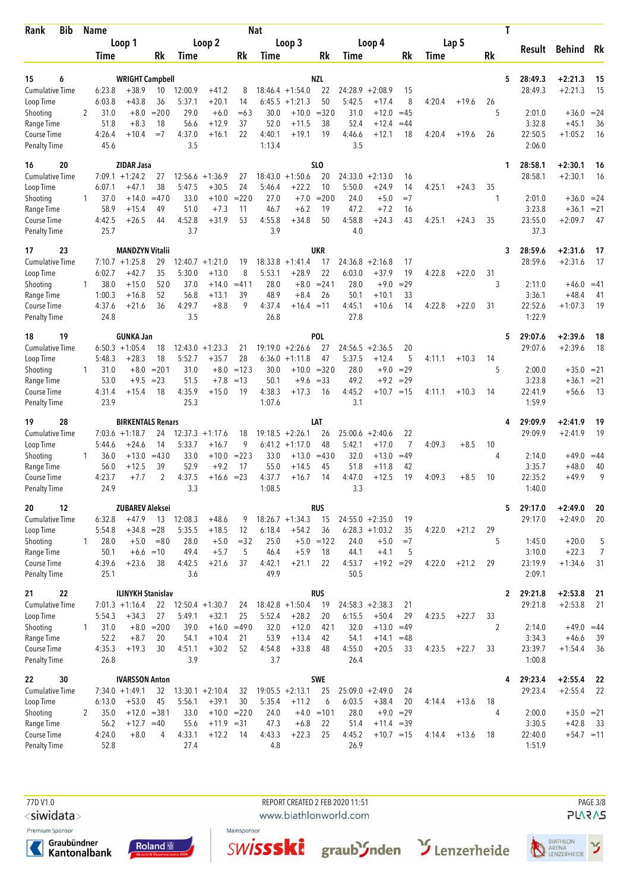| Bib<br>Rank                         |              | <b>Name</b>    |                                              |                |                   |                      |               | <b>Nat</b>        |                                        |                  |                   |                      |                      |        |         | Τ            |                    |                         |                |
|-------------------------------------|--------------|----------------|----------------------------------------------|----------------|-------------------|----------------------|---------------|-------------------|----------------------------------------|------------------|-------------------|----------------------|----------------------|--------|---------|--------------|--------------------|-------------------------|----------------|
|                                     |              |                | Loop 1                                       |                |                   | Loop 2               |               |                   | Loop 3                                 |                  |                   | Loop 4               |                      |        | Lap 5   |              | Result             | <b>Behind</b> Rk        |                |
|                                     |              | Time           |                                              | Rk             | Time              |                      | Rk            | Time              |                                        | Rk               | Time              |                      | Rk                   | Time   |         | Rk           |                    |                         |                |
| 15<br>6                             |              |                | <b>WRIGHT Campbell</b>                       |                |                   |                      |               |                   |                                        | NZL              |                   |                      |                      |        |         | 5            | 28:49.3            | $+2:21.3$               | 15             |
| <b>Cumulative Time</b>              |              | 6:23.8         | $+38.9$                                      | 10             | 12:00.9           | $+41.2$              | 8             |                   | $18:46.4 + 1:54.0$                     | 22               | 24:28.9           | $+2:08.9$            | 15                   |        |         |              | 28:49.3            | $+2:21.3$               | 15             |
| Loop Time                           |              | 6:03.8         | $+43.8$                                      | 36             | 5:37.1            | $+20.1$              | 14            | 6:45.5            | $+1:21.3$                              | 50               | 5:42.5            | $+17.4$              | 8                    | 4:20.4 | $+19.6$ | 26           |                    |                         |                |
| Shooting                            | 2            | 31.0           | $+8.0$                                       | $= 200$        | 29.0              | $+6.0$               | $=63$         | 30.0              | $+10.0$                                | $= 320$          | 31.0              | $+12.0$              | $=45$                |        |         | 5            | 2:01.0             | $+36.0 = 24$            |                |
| Range Time                          |              | 51.8           | $+8.3$                                       | 18             | 56.6              | $+12.9$              | 37            | 52.0              | $+11.5$                                | 38               | 52.4              | $+12.4$              | $=44$                |        |         |              | 3:32.8             | $+45.1$                 | 36             |
| Course Time<br><b>Penalty Time</b>  |              | 4:26.4<br>45.6 | $+10.4$                                      | $=7$           | 4:37.0<br>3.5     | $+16.1$              | 22            | 4:40.1<br>1:13.4  | $+19.1$                                | 19               | 4:46.6<br>3.5     | $+12.1$              | 18                   | 4:20.4 | $+19.6$ | 26           | 22:50.5<br>2:06.0  | $+1:05.2$               | 16             |
| 16<br>20                            |              |                | <b>ZIDAR Jasa</b>                            |                |                   |                      |               |                   |                                        | SL <sub>0</sub>  |                   |                      |                      |        |         | 1            | 28:58.1            | $+2:30.1$               | 16             |
| <b>Cumulative Time</b>              |              |                | $7:09.1 + 1:24.2$                            | 27             | 12:56.6           | $+1:36.9$            | 27            | 18:43.0           | $+1:50.6$                              | 20               | 24:33.0           | $+2:13.0$            | 16                   |        |         |              | 28:58.1            | $+2:30.1$               | 16             |
| Loop Time                           |              | 6:07.1         | $+47.1$                                      | 38             | 5:47.5            | $+30.5$              | 24            | 5:46.4            | $+22.2$                                | 10               | 5:50.0            | $+24.9$              | 14                   | 4:25.1 | $+24.3$ | 35           |                    |                         |                |
| Shooting<br>Range Time              | 1            | 37.0<br>58.9   | $+14.0$<br>$+15.4$                           | $=470$<br>49   | 33.0<br>51.0      | $+10.0$<br>$+7.3$    | $= 220$<br>11 | 27.0<br>46.7      | $+7.0$<br>$+6.2$                       | $= 200$<br>19    | 24.0<br>47.2      | $+5.0$<br>$+7.2$     | $=7$<br>16           |        |         | 1            | 2:01.0<br>3:23.8   | $+36.0 = 24$<br>$+36.1$ | $= 21$         |
| Course Time                         |              | 4:42.5         | $+26.5$                                      | 44             | 4:52.8            | $+31.9$              | 53            | 4:55.8            | $+34.8$                                | 50               | 4:58.8            | $+24.3$              | 43                   | 4:25.1 | $+24.3$ | 35           | 23:55.0            | $+2:09.7$               | 47             |
| <b>Penalty Time</b>                 |              | 25.7           |                                              |                | 3.7               |                      |               | 3.9               |                                        |                  | 4.0               |                      |                      |        |         |              | 37.3               |                         |                |
| 23<br>17                            |              |                | <b>MANDZYN Vitalii</b>                       |                |                   |                      |               |                   |                                        | UKR              |                   |                      |                      |        |         | 3            | 28:59.6            | $+2:31.6$               | 17             |
| <b>Cumulative Time</b>              |              |                | $7:10.7 + 1:25.8$                            | 29<br>35       | 12:40.7<br>5:30.0 | $+1:21.0$<br>$+13.0$ | 19<br>8       | 18:33.8<br>5:53.1 | $+1:41.4$<br>$+28.9$                   | 17<br>22         | 24:36.8<br>6:03.0 | $+2:16.8$<br>$+37.9$ | 17<br>19             | 4:22.8 | $+22.0$ | 31           | 28:59.6            | $+2:31.6$               | 17             |
| Loop Time<br>Shooting               | $\mathbf{1}$ | 6:02.7<br>38.0 | $+42.7$<br>$+15.0$                           | 520            | 37.0              | $+14.0$              | $=411$        | 28.0              | $+8.0$                                 | $= 241$          | 28.0              | $+9.0$               | $=29$                |        |         | 3            | 2:11.0             | $+46.0 = 41$            |                |
| Range Time                          |              | 1:00.3         | $+16.8$                                      | 52             | 56.8              | $+13.1$              | 39            | 48.9              | $+8.4$                                 | 26               | 50.1              | $+10.1$              | 33                   |        |         |              | 3:36.1             | $+48.4$                 | 41             |
| Course Time                         |              | 4:37.6         | $+21.6$                                      | 36             | 4:29.7            | $+8.8$               | 9             | 4:37.4            | $+16.4 = 11$                           |                  | 4:45.1            | $+10.6$              | 14                   | 4:22.8 | $+22.0$ | 31           | 22:52.6            | $+1:07.3$               | 19             |
| <b>Penalty Time</b>                 |              | 24.8           |                                              |                | 3.5               |                      |               | 26.8              |                                        |                  | 27.8              |                      |                      |        |         |              | 1:22.9             |                         |                |
| 19<br>18                            |              |                | <b>GUNKA Jan</b>                             |                |                   |                      |               |                   |                                        | POL              |                   |                      |                      |        |         | 5            | 29:07.6            | $+2:39.6$               | 18             |
| <b>Cumulative Time</b>              |              |                | $6:50.3 +1:05.4$                             | 18             |                   | $12:43.0 + 1:23.3$   | 21            |                   | $19:19.0 + 2:26.6$                     | 27               |                   | $24:56.5 + 2:36.5$   | 20                   |        |         |              | 29:07.6            | $+2:39.6$               | 18             |
| Loop Time<br>Shooting               | 1            | 5:48.3<br>31.0 | $+28.3$<br>$+8.0$                            | 18<br>$= 201$  | 5:52.7<br>31.0    | $+35.7$<br>$+8.0$    | 28<br>$=123$  | 30.0              | $6:36.0 +1:11.8$<br>$+10.0$            | 47<br>$= 320$    | 5:37.5<br>28.0    | $+12.4$<br>$+9.0$    | 5<br>$=29$           | 4:11.1 | $+10.3$ | 14<br>5      | 2:00.0             | $+35.0 = 21$            |                |
| Range Time                          |              | 53.0           | $+9.5$                                       | $= 23$         | 51.5              | $+7.8$               | $=13$         | 50.1              | $+9.6$                                 | $=33$            | 49.2              | $+9.2$               | $=29$                |        |         |              | 3:23.8             | $+36.1 = 21$            |                |
| Course Time                         |              | 4:31.4         | $+15.4$                                      | 18             | 4:35.9            | $+15.0$              | 19            | 4:38.3            | $+17.3$                                | 16               | 4:45.2            | $+10.7 = 15$         |                      | 4:11.1 | $+10.3$ | 14           | 22:41.9            | $+56.6$                 | - 13           |
| <b>Penalty Time</b>                 |              | 23.9           |                                              |                | 25.3              |                      |               | 1:07.6            |                                        |                  | 3.1               |                      |                      |        |         |              | 1:59.9             |                         |                |
| 28<br>19                            |              |                | <b>BIRKENTALS Renars</b>                     |                |                   |                      |               |                   |                                        | LAT              |                   |                      |                      |        |         | 4            | 29:09.9            | +2:41.9                 | 19             |
| <b>Cumulative Time</b><br>Loop Time |              | 5:44.6         | $7:03.6 +1:18.7$<br>$+24.6$                  | 24<br>14       | 12:37.3<br>5:33.7 | $+1:17.6$<br>$+16.7$ | 18<br>9       |                   | $19:18.5 + 2:26.1$<br>$6:41.2 +1:17.0$ | 26<br>48         | 25:00.6<br>5:42.1 | $+2:40.6$<br>$+17.0$ | 22<br>$\overline{7}$ | 4:09.3 | $+8.5$  | 10           | 29:09.9            | $+2:41.9$               | 19             |
| Shooting                            | 1            | 36.0           | $+13.0$                                      | $=430$         | 33.0              | $+10.0$              | $= 223$       | 33.0              | $+13.0$                                | $=430$           | 32.0              | $+13.0$              | $=49$                |        |         | 4            | 2:14.0             | $+49.0$                 | $=44$          |
| Range Time                          |              | 56.0           | $+12.5$                                      | 39             | 52.9              | $+9.2$               | 17            | 55.0              | $+14.5$                                | 45               | 51.8              | $+11.8$              | 42                   |        |         |              | 3:35.7             | $+48.0$                 | 40             |
| Course Time                         |              | 4:23.7         | $+7.7$                                       | $\overline{2}$ | 4:37.5            | $+16.6$              | $= 23$        | 4:37.7            | $+16.7$                                | 14               | 4:47.0            | $+12.5$              | 19                   | 4:09.3 | $+8.5$  | 10           | 22:35.2            | $+49.9$                 | 9              |
| <b>Penalty Time</b>                 |              | 24.9           |                                              |                | 3.3               |                      |               | 1:08.5            |                                        |                  | 3.3               |                      |                      |        |         |              | 1:40.0             |                         |                |
| 20<br>12<br><b>Cumulative Time</b>  |              | 6:32.8         | <b>ZUBAREV Aleksei</b><br>$+47.9$            | 13             | 12:08.3           | $+48.6$              | 9             |                   | $18:26.7 + 1:34.3$                     | <b>RUS</b><br>15 |                   | $24:55.0 + 2:35.0$   | 19                   |        |         | 5            | 29:17.0<br>29:17.0 | $+2:49.0$<br>$+2:49.0$  | 20<br>20       |
| Loop Time                           |              | 5:54.8         | $+34.8$                                      | $= 28$         | 5:35.5            | $+18.5$              | 12            | 6:18.4            | $+54.2$                                | 36               |                   | $6:28.3 +1:03.2$     | 35                   | 4:22.0 | $+21.2$ | 29           |                    |                         |                |
| Shooting                            | 1            | 28.0           | $+5.0$                                       | $= 80$         | 28.0              | $+5.0$               | $= 32$        | 25.0              |                                        | $+5.0 = 122$     | 24.0              | $+5.0$               | $=7$                 |        |         | 5            | 1:45.0             | $+20.0$                 | 5              |
| Range Time                          |              | 50.1           | $+6.6 = 10$                                  |                | 49.4              | $+5.7$               | 5             | 46.4              | $+5.9$                                 | 18               | 44.1              | $+4.1$               | 5                    |        |         |              | 3:10.0             | $+22.3$                 | $\overline{7}$ |
| Course Time                         |              | 4:39.6         | $+23.6$                                      | 38             | 4:42.5            | $+21.6$              | 37            | 4:42.1            | $+21.1$                                | 22               | 4:53.7            | $+19.2 = 29$         |                      | 4:22.0 | $+21.2$ | 29           | 23:19.9            | $+1:34.6$               | 31             |
| <b>Penalty Time</b>                 |              | 25.1           |                                              |                | 3.6               |                      |               | 49.9              |                                        |                  | 50.5              |                      |                      |        |         |              | 2:09.1             |                         |                |
| 22<br>21<br><b>Cumulative Time</b>  |              |                | <b>ILINYKH Stanislav</b><br>$7:01.3 +1:16.4$ |                |                   | $22$ 12:50.4 +1:30.7 | 24            |                   | $18:42.8 + 1:50.4$                     | RUS<br>19        |                   | $24:58.3 + 2:38.3$   | 21                   |        |         | $\mathbf{2}$ | 29:21.8<br>29:21.8 | $+2:53.8$<br>$+2:53.8$  | 21<br>21       |
| Loop Time                           |              | 5:54.3         | $+34.3$                                      | 27             | 5:49.1            | $+32.1$              | 25            | 5:52.4            | $+28.2$                                | 20               | 6:15.5            | $+50.4$              | 29                   | 4:23.5 | $+22.7$ | 33           |                    |                         |                |
| Shooting                            | $\mathbf{1}$ | 31.0           | $+8.0$                                       | $= 200$        | 39.0              |                      | $+16.0 = 490$ | 32.0              | $+12.0$                                | 421              | 32.0              | $+13.0$              | $=49$                |        |         | 2            | 2:14.0             | $+49.0 = 44$            |                |
| Range Time                          |              | 52.2           | $+8.7$                                       | 20             | 54.1              | $+10.4$              | 21            | 53.9              | $+13.4$                                | 42               | 54.1              | $+14.1$              | $=48$                |        |         |              | 3:34.3             | $+46.6$                 | 39             |
| Course Time                         |              | 4:35.3         | $+19.3$                                      | 30             | 4:51.1            | $+30.2$              | 52            | 4:54.8            | $+33.8$                                | 48               | 4:55.0            | $+20.5$              | 33                   | 4:23.5 | $+22.7$ | 33           | 23:39.7            | $+1:54.4$               | 36             |
| <b>Penalty Time</b>                 |              | 26.8           |                                              |                | 3.9               |                      |               | 3.7               |                                        |                  | 26.4              |                      |                      |        |         |              | 1:00.8             |                         |                |
| 22<br>30<br>Cumulative Time         |              |                | <b>IVARSSON Anton</b><br>$7:34.0 +1:49.1$    | 32             |                   | $13:30.1 + 2:10.4$   | 32            |                   | $19:05.5 + 2:13.1$                     | <b>SWE</b><br>25 |                   | $25:09.0 + 2:49.0$   | 24                   |        |         | 4            | 29:23.4<br>29:23.4 | $+2:55.4$<br>$+2:55.4$  | 22<br>22       |
| Loop Time                           |              | 6:13.0         | $+53.0$                                      | 45             | 5:56.1            | $+39.1$              | 30            | 5:35.4            | $+11.2$                                | 6                | 6:03.5            | $+38.4$              | 20                   | 4:14.4 | $+13.6$ | 18           |                    |                         |                |
| Shooting                            | 2            | 35.0           | $+12.0$                                      | $= 381$        | 33.0              |                      | $+10.0 = 220$ | 24.0              | $+4.0$                                 | $=101$           | 28.0              |                      | $+9.0 = 29$          |        |         | 4            | 2:00.0             | $+35.0 = 21$            |                |
| Range Time                          |              | 56.2           | $+12.7 = 40$                                 |                | 55.6              | $+11.9 = 31$         |               | 47.3              | $+6.8$                                 | 22               | 51.4              | $+11.4 = 39$         |                      |        |         |              | 3:30.5             | $+42.8$                 | - 33           |
| Course Time<br><b>Penalty Time</b>  |              | 4:24.0<br>52.8 | $+8.0$                                       | 4              | 4:33.1<br>27.4    | $+12.2$              | -14           | 4:43.3<br>4.8     | $+22.3$                                | 25               | 4:45.2<br>26.9    | $+10.7 = 15$         |                      | 4:14.4 | $+13.6$ | 18           | 22:40.0<br>1:51.9  | $+54.7 = 11$            |                |
|                                     |              |                |                                              |                |                   |                      |               |                   |                                        |                  |                   |                      |                      |        |         |              |                    |                         |                |

77D V1.0 REPORT CREATED 2 FEB 2020 11:51 PAGE 3/8

<siwidata>

Premium Sponsor







www.biathlonworld.com





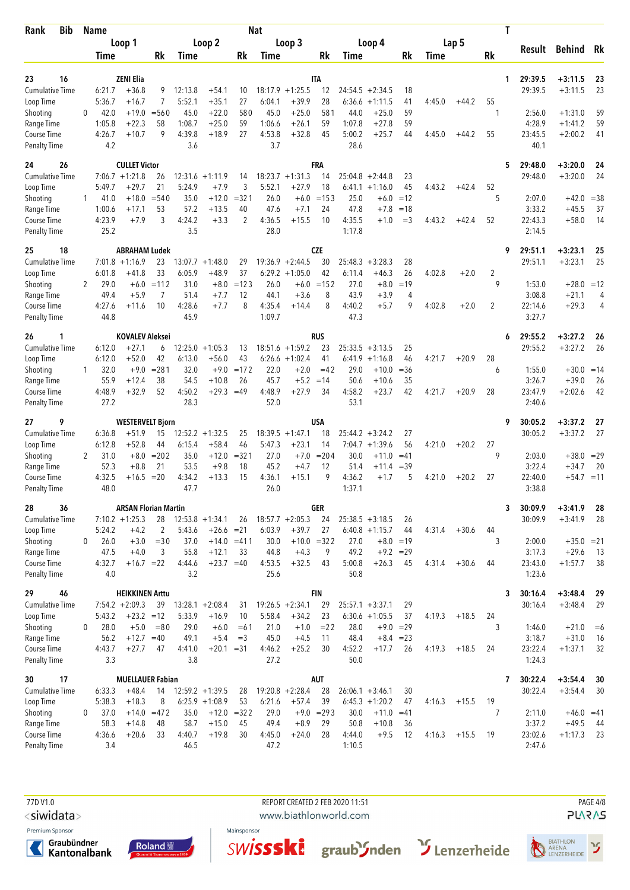| <b>Bib</b><br>Rank                  |          | <b>Name</b>      |                                  |               |                   |                                        |                | <b>Nat</b>        |                               |              |                    |                                        |                |        |         | Τ       |                 |                    |       |
|-------------------------------------|----------|------------------|----------------------------------|---------------|-------------------|----------------------------------------|----------------|-------------------|-------------------------------|--------------|--------------------|----------------------------------------|----------------|--------|---------|---------|-----------------|--------------------|-------|
|                                     |          |                  | Loop 1                           |               |                   | Loop 2                                 |                |                   | Loop 3                        |              |                    | Loop 4                                 |                |        | Lap 5   |         | Result          | <b>Behind</b>      | Rk    |
|                                     |          | Time             |                                  | Rk            | Time              |                                        | Rk             | Time              |                               | Rk           | Time               |                                        | Rk             | Time   |         | Rk      |                 |                    |       |
| 16<br>23                            |          |                  | <b>ZENI Elia</b>                 |               |                   |                                        |                |                   |                               | <b>ITA</b>   |                    |                                        |                |        |         | 1       | 29:39.5         | $+3:11.5$          | 23    |
| <b>Cumulative Time</b>              |          | 6:21.7           | $+36.8$                          | 9             | 12:13.8           | $+54.1$                                | 10             |                   | $18:17.9 + 1:25.5$            | 12           | 24:54.5            | $+2:34.5$                              | 18             |        |         |         | 29:39.5         | $+3:11.5$          | 23    |
| Loop Time                           |          | 5:36.7           | $+16.7$                          | 7             | 5:52.1            | $+35.1$                                | 27             | 6:04.1            | $+39.9$                       | 28           | 6:36.6             | $+1:11.5$                              | 41             | 4:45.0 | $+44.2$ | 55      |                 |                    |       |
| Shooting                            | $\Omega$ | 42.0             | $+19.0$                          | $= 560$       | 45.0              | $+22.0$                                | 580            | 45.0              | $+25.0$                       | 581          | 44.0               | $+25.0$                                | 59             |        |         | 1       | 2:56.0          | $+1:31.0$          | 59    |
| Range Time                          |          | 1:05.8           | $+22.3$                          | 58            | 1:08.7            | $+25.0$                                | 59             | 1:06.6            | $+26.1$                       | 59           | 1:07.8             | $+27.8$                                | 59             |        |         |         | 4:28.9          | $+1:41.2$          | 59    |
| Course Time<br><b>Penalty Time</b>  |          | 4:26.7<br>4.2    | $+10.7$                          | 9             | 4:39.8<br>3.6     | $+18.9$                                | 27             | 4:53.8<br>3.7     | $+32.8$                       | 45           | 5:00.2<br>28.6     | $+25.7$                                | 44             | 4:45.0 | $+44.2$ | 55      | 23:45.5<br>40.1 | $+2:00.2$          | 41    |
| 26<br>24                            |          |                  | <b>CULLET Victor</b>             |               |                   |                                        |                |                   |                               | <b>FRA</b>   |                    |                                        |                |        |         | 5       | 29:48.0         | $+3:20.0$          | 24    |
| Cumulative Time                     |          |                  | $7:06.7 +1:21.8$                 | 26            | 12:31.6           | $+1:11.9$                              | 14             |                   | $18:23.7 + 1:31.3$            | 14           |                    | $25:04.8 + 2:44.8$                     | 23             |        |         |         | 29:48.0         | $+3:20.0$          | 24    |
| Loop Time                           |          | 5:49.7           | $+29.7$<br>$+18.0$               | 21<br>$= 540$ | 5:24.9<br>35.0    | $+7.9$<br>$+12.0$                      | 3<br>$= 321$   | 5:52.1<br>26.0    | $+27.9$<br>$+6.0$             | 18<br>$=153$ | 6:41.1<br>25.0     | $+1:16.0$                              | 45             | 4:43.2 | $+42.4$ | 52<br>5 | 2:07.0          |                    | $=38$ |
| Shooting<br>Range Time              | 1        | 41.0<br>1:00.6   | $+17.1$                          | 53            | 57.2              | $+13.5$                                | 40             | 47.6              | $+7.1$                        | 24           | 47.8               | $+6.0$<br>$+7.8$                       | $=12$<br>$=18$ |        |         |         | 3:33.2          | $+42.0$<br>$+45.5$ | 37    |
| Course Time                         |          | 4:23.9           | $+7.9$                           | 3             | 4:24.2            | $+3.3$                                 | $\overline{2}$ | 4:36.5            | $+15.5$                       | 10           | 4:35.5             | $+1.0$                                 | $=$ 3          | 4:43.2 | $+42.4$ | 52      | 22:43.3         | $+58.0$            | 14    |
| <b>Penalty Time</b>                 |          | 25.2             |                                  |               | 3.5               |                                        |                | 28.0              |                               |              | 1:17.8             |                                        |                |        |         |         | 2:14.5          |                    |       |
| 18<br>25                            |          |                  | <b>ABRAHAM Ludek</b>             |               |                   |                                        |                |                   |                               | <b>CZE</b>   |                    |                                        |                |        |         | 9       | 29:51.1         | $+3:23.1$          | 25    |
| Cumulative Time                     |          |                  | $7:01.8 +1:16.9$                 | 23<br>33      | 13:07.7<br>6:05.9 | $+1:48.0$                              | 29<br>37       |                   | $19:36.9 + 2:44.5$            | 30           | 25:48.3            | $+3:28.3$                              | 28             |        |         |         | 29:51.1         | $+3:23.1$          | 25    |
| Loop Time<br>Shooting               | 2        | 6:01.8<br>29.0   | $+41.8$<br>$+6.0$                | $=112$        | 31.0              | $+48.9$<br>$+8.0$                      | $=123$         | 6:29.2<br>26.0    | $+1:05.0$<br>$+6.0$           | 42<br>$=152$ | 6:11.4<br>27.0     | $+46.3$<br>$+8.0$                      | 26<br>$=19$    | 4:02.8 | $+2.0$  | 2<br>9  | 1:53.0          | $+28.0 = 12$       |       |
| Range Time                          |          | 49.4             | $+5.9$                           | 7             | 51.4              | $+7.7$                                 | 12             | 44.1              | $+3.6$                        | 8            | 43.9               | $+3.9$                                 | 4              |        |         |         | 3:08.8          | $+21.1$            | 4     |
| Course Time                         |          | 4:27.6           | $+11.6$                          | 10            | 4:28.6            | $+7.7$                                 | 8              | 4:35.4            | $+14.4$                       | 8            | 4:40.2             | $+5.7$                                 | 9              | 4:02.8 | $+2.0$  | 2       | 22:14.6         | $+29.3$            | 4     |
| <b>Penalty Time</b>                 |          | 44.8             |                                  |               | 45.9              |                                        |                | 1:09.7            |                               |              | 47.3               |                                        |                |        |         |         | 3:27.7          |                    |       |
| 26<br>1                             |          |                  | <b>KOVALEV Aleksei</b>           |               |                   |                                        |                |                   |                               | RUS          |                    |                                        |                |        |         | 6       | 29:55.2         | $+3:27.2$          | 26    |
| Cumulative Time                     |          | 6:12.0           | $+27.1$                          | 6             |                   | $12:25.0 + 1:05.3$                     | 13             |                   | $18:51.6 + 1:59.2$            | 23           |                    | $25:33.5 + 3:13.5$                     | 25             |        |         |         | 29:55.2         | $+3:27.2$          | 26    |
| Loop Time<br>Shooting               | 1        | 6:12.0<br>32.0   | $+52.0$<br>$+9.0$                | 42<br>$= 281$ | 6:13.0<br>32.0    | $+56.0$<br>$+9.0$                      | 43<br>$=172$   | 22.0              | $6:26.6 + 1:02.4$<br>$+2.0$   | 41<br>$=42$  | 6:41.9<br>29.0     | $+1:16.8$<br>$+10.0$                   | 46<br>$= 36$   | 4:21.7 | $+20.9$ | 28<br>6 | 1:55.0          | $+30.0 = 14$       |       |
| Range Time                          |          | 55.9             | $+12.4$                          | 38            | 54.5              | $+10.8$                                | 26             | 45.7              | $+5.2$                        | $=14$        | 50.6               | $+10.6$                                | 35             |        |         |         | 3:26.7          | $+39.0$            | 26    |
| Course Time                         |          | 4:48.9           | $+32.9$                          | 52            | 4:50.2            | $+29.3 = 49$                           |                | 4:48.9            | $+27.9$                       | 34           | 4:58.2             | $+23.7$                                | 42             | 4:21.7 | $+20.9$ | 28      | 23:47.9         | $+2:02.6$          | 42    |
| <b>Penalty Time</b>                 |          | 27.2             |                                  |               | 28.3              |                                        |                | 52.0              |                               |              | 53.1               |                                        |                |        |         |         | 2:40.6          |                    |       |
| 9<br>27                             |          |                  | <b>WESTERVELT Bjorn</b>          |               |                   |                                        |                |                   |                               | USA          |                    |                                        |                |        |         | 9       | 30:05.2         | $+3:37.2$          | 27    |
| <b>Cumulative Time</b><br>Loop Time |          | 6:36.8<br>6:12.8 | $+51.9$<br>$+52.8$               | 15<br>44      | 12:52.2<br>6:15.4 | $+1:32.5$<br>$+58.4$                   | 25<br>46       | 18:39.5<br>5:47.3 | $+1:47.1$<br>$+23.1$          | 18<br>14     | 7:04.7             | $25:44.2 + 3:24.2$<br>$+1:39.6$        | 27<br>56       | 4:21.0 | $+20.2$ | 27      | 30:05.2         | $+3:37.2$          | 27    |
| Shooting                            | 2        | 31.0             | $+8.0$                           | $= 202$       | 35.0              | $+12.0$                                | $= 321$        | 27.0              | $+7.0$                        | $= 204$      | 30.0               | $+11.0$                                | $=41$          |        |         | 9       | 2:03.0          | $+38.0 = 29$       |       |
| Range Time                          |          | 52.3             | $+8.8$                           | 21            | 53.5              | $+9.8$                                 | 18             | 45.2              | $+4.7$                        | 12           | 51.4               | +11.4                                  | $=39$          |        |         |         | 3:22.4          | $+34.7$            | 20    |
| Course Time                         |          | 4:32.5           | $+16.5$                          | $=20$         | 4:34.2            | $+13.3$                                | 15             | 4:36.1            | $+15.1$                       | 9            | 4:36.2             | $+1.7$                                 | 5              | 4:21.0 | $+20.2$ | 27      | 22:40.0         | +54.7              | $=11$ |
| <b>Penalty Time</b>                 |          | 48.0             |                                  |               | 47.7              |                                        |                | 26.0              |                               |              | 1:37.1             |                                        |                |        |         |         | 3:38.8          |                    |       |
| 28<br>36                            |          |                  | <b>ARSAN Florian Martin</b>      |               |                   |                                        |                |                   |                               | <b>GER</b>   |                    |                                        |                |        |         | 3       | 30:09.9         | $+3:41.9$          | 28    |
| Cumulative Time<br>Loop Time        |          | 5:24.2           | $7:10.2 + 1:25.3$<br>$+4.2$      | 28<br>2       | 5:43.6            | $12:53.8 +1:34.1$<br>$+26.6 = 21$      | 26             | 6:03.9            | $18:57.7 + 2:05.3$<br>$+39.7$ | 24<br>27     |                    | $25:38.5 + 3:18.5$<br>$6:40.8 +1:15.7$ | 26<br>44       | 4:31.4 | $+30.6$ | 44      | 30:09.9         | $+3:41.9$          | 28    |
| Shooting                            | 0        | 26.0             | $+3.0$                           | $=$ 30        | 37.0              | $+14.0 = 411$                          |                | 30.0              | $+10.0 = 322$                 |              | 27.0               | $+8.0$                                 | $=19$          |        |         | 3       | 2:00.0          | $+35.0 = 21$       |       |
| Range Time                          |          | 47.5             | $+4.0$                           | 3             | 55.8              | $+12.1$                                | 33             | 44.8              | $+4.3$                        | 9            | 49.2               |                                        | $+9.2 = 29$    |        |         |         | 3:17.3          | $+29.6$            | 13    |
| Course Time                         |          | 4:32.7           | $+16.7 = 22$                     |               | 4:44.6            | $+23.7 = 40$                           |                | 4:53.5            | $+32.5$                       | 43           | 5:00.8             | $+26.3$                                | 45             | 4:31.4 | $+30.6$ | 44      | 23:43.0         | $+1:57.7$          | 38    |
| <b>Penalty Time</b>                 |          | 4.0              |                                  |               | 3.2               |                                        |                | 25.6              |                               |              | 50.8               |                                        |                |        |         |         | 1:23.6          |                    |       |
| 46<br>29                            |          |                  | <b>HEIKKINEN Arttu</b>           |               |                   |                                        |                |                   |                               | <b>FIN</b>   |                    |                                        |                |        |         | 3       | 30:16.4         | $+3:48.4$          | 29    |
| Cumulative Time<br>Loop Time        |          | 5:43.2           | $7:54.2 +2:09.3$<br>$+23.2 = 12$ | 39            | 5:33.9            | $13:28.1 + 2:08.4$<br>$+16.9$          | 31<br>10       | 5:58.4            | $19:26.5 +2:34.1$<br>$+34.2$  | 29<br>23     | $25:57.1 + 3:37.1$ | $6:30.6 +1:05.5$                       | 29<br>37       | 4:19.3 | $+18.5$ | 24      | 30:16.4         | $+3:48.4$          | 29    |
| Shooting                            | 0        | 28.0             | $+5.0$                           | $= 80$        | 29.0              | $+6.0$                                 | $=61$          | 21.0              | $+1.0$                        | $= 22$       | 28.0               |                                        | $+9.0 = 29$    |        |         | 3       | 1:46.0          | $+21.0$            | $=6$  |
| Range Time                          |          | 56.2             | $+12.7$                          | $=40$         | 49.1              | $+5.4$                                 | $=3$           | 45.0              | $+4.5$                        | 11           | 48.4               |                                        | $+8.4 = 23$    |        |         |         | 3:18.7          | $+31.0$            | 16    |
| Course Time                         |          | 4:43.7           | $+27.7$                          | 47            | 4:41.0            | $+20.1 = 31$                           |                | 4:46.2            | $+25.2$                       | 30           | 4:52.2             | $+17.7$                                | 26             | 4:19.3 | $+18.5$ | 24      | 23:22.4         | $+1:37.1$          | 32    |
| <b>Penalty Time</b>                 |          | 3.3              |                                  |               | 3.8               |                                        |                | 27.2              |                               |              | 50.0               |                                        |                |        |         |         | 1:24.3          |                    |       |
| 30<br>17                            |          |                  | <b>MUELLAUER Fabian</b>          |               |                   |                                        |                |                   |                               | AUT          |                    |                                        |                |        |         | 7       | 30:22.4         | $+3:54.4$          | 30    |
| Cumulative Time<br>Loop Time        |          | 6:33.3<br>5:38.3 | $+48.4$<br>$+18.3$               | 14<br>8       |                   | $12:59.2 + 1:39.5$<br>$6:25.9 +1:08.9$ | 28<br>53       | 6:21.6            | $19:20.8 + 2:28.4$<br>$+57.4$ | 28<br>39     | $26:06.1 + 3:46.1$ | $6:45.3 +1:20.2$                       | 30<br>47       | 4:16.3 | $+15.5$ | 19      | 30:22.4         | $+3:54.4$          | 30    |
| Shooting                            | 0        | 37.0             | $+14.0$                          | $=472$        | 35.0              | $+12.0$                                | $= 322$        | 29.0              | $+9.0$                        | $= 293$      | 30.0               | $+11.0$                                | $=41$          |        |         | 7       | 2:11.0          | $+46.0 = 41$       |       |
| Range Time                          |          | 58.3             | $+14.8$                          | 48            | 58.7              | $+15.0$                                | 45             | 49.4              | $+8.9$                        | 29           | 50.8               | $+10.8$                                | 36             |        |         |         | 3:37.2          | $+49.5$            | - 44  |
| Course Time                         |          | 4:36.6           | $+20.6$                          | 33            | 4:40.7            | $+19.8$                                | 30             | 4:45.0            | $+24.0$                       | 28           | 4:44.0             | $+9.5$                                 | 12             | 4:16.3 | $+15.5$ | -19     | 23:02.6         | $+1:17.3$          | 23    |
| <b>Penalty Time</b>                 |          | 3.4              |                                  |               | 46.5              |                                        |                | 47.2              |                               |              | 1:10.5             |                                        |                |        |         |         | 2:47.6          |                    |       |

77D V1.0 REPORT CREATED 2 FEB 2020 11:51 PAGE 4/8

<siwidata>

Premium Sponsor







www.biathlonworld.com



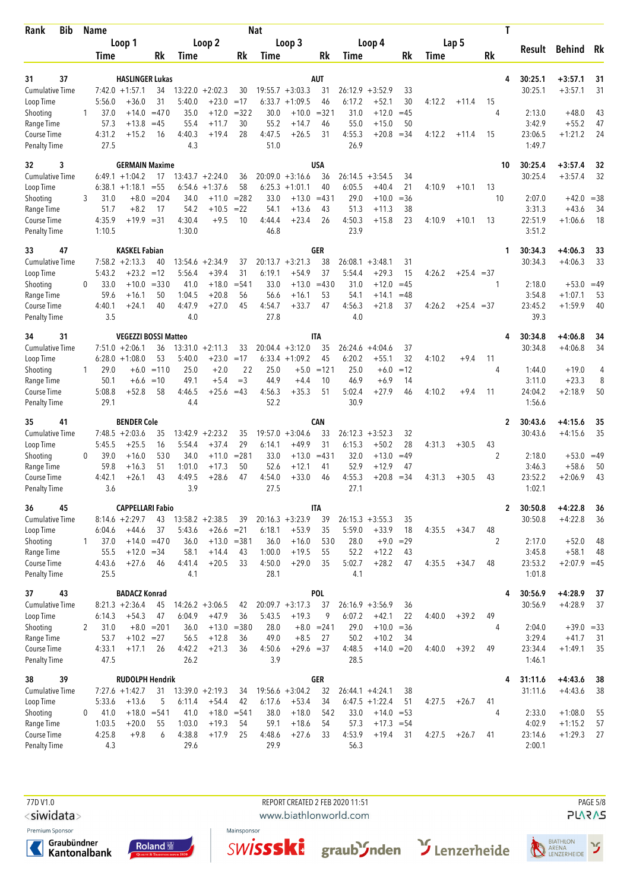| Bib<br>Rank                         |              | <b>Name</b>    |                              |                    |                   |                               |                   | <b>Nat</b>     |                               |               |                   |                                  |              |             |              | Τ            |                   |                    |             |
|-------------------------------------|--------------|----------------|------------------------------|--------------------|-------------------|-------------------------------|-------------------|----------------|-------------------------------|---------------|-------------------|----------------------------------|--------------|-------------|--------------|--------------|-------------------|--------------------|-------------|
|                                     |              |                | Loop 1                       |                    |                   | Loop 2                        |                   |                | Loop 3                        |               |                   | Loop 4                           |              |             | Lap 5        |              | Result            | Behind             | Rk          |
|                                     |              | Time           |                              | Rk                 | Time              |                               | Rk                | Time           |                               | Rk            | Time              |                                  | Rk           | <b>Time</b> |              | Rk           |                   |                    |             |
| 37<br>31                            |              |                | <b>HASLINGER Lukas</b>       |                    |                   |                               |                   |                |                               | AUT           |                   |                                  |              |             |              | 4            | 30:25.1           | $+3:57.1$          | 31          |
| <b>Cumulative Time</b>              |              |                | $7:42.0 + 1:57.1$            | 34                 | 13:22.0           | $+2:02.3$                     | 30                |                | $19:55.7 + 3:03.3$            | 31            | 26:12.9           | $+3:52.9$                        | 33           |             |              |              | 30:25.1           | $+3:57.1$          | 31          |
| Loop Time                           |              | 5:56.0         | $+36.0$                      | 31                 | 5:40.0            | $+23.0$                       | $=17$             | 6:33.7         | $+1:09.5$                     | 46            | 6:17.2            | $+52.1$                          | 30           | 4:12.2      | $+11.4$      | 15           |                   |                    |             |
| Shooting                            | 1            | 37.0           | $+14.0$                      | $=470$             | 35.0              | $+12.0$                       | $= 322$           | 30.0           | $+10.0$                       | $= 321$       | 31.0              | $+12.0$                          | $=45$        |             |              | 4            | 2:13.0            | $+48.0$            | 43          |
| Range Time                          |              | 57.3           | $+13.8$                      | $=45$              | 55.4              | $+11.7$                       | 30                | 55.2           | $+14.7$                       | 46            | 55.0              | $+15.0$                          | 50           |             |              |              | 3:42.9            | $+55.2$            | 47          |
| Course Time<br><b>Penalty Time</b>  |              | 4:31.2<br>27.5 | $+15.2$                      | 16                 | 4:40.3<br>4.3     | $+19.4$                       | 28                | 4:47.5<br>51.0 | $+26.5$                       | 31            | 4:55.3<br>26.9    | $+20.8$                          | $= 34$       | 4:12.2      | $+11.4$      | 15           | 23:06.5<br>1:49.7 | $+1:21.2$          | 24          |
| 32<br>3                             |              |                | <b>GERMAIN Maxime</b>        |                    |                   |                               |                   |                |                               | <b>USA</b>    |                   |                                  |              |             |              | 10           | 30:25.4           | $+3:57.4$          | 32          |
| <b>Cumulative Time</b>              |              |                | $6:49.1 + 1:04.2$            | 17                 |                   | $13:43.7 + 2:24.0$            | 36                |                | $20:09.0 + 3:16.6$            | 36            | 26:14.5           | $+3:54.5$                        | 34           |             |              |              | 30:25.4           | $+3:57.4$          | 32          |
| Loop Time                           |              |                | $6:38.1 + 1:18.1$            | $= 55$             | 6:54.6            | $+1:37.6$                     | 58                |                | $6:25.3 +1:01.1$              | 40            | 6:05.5            | $+40.4$                          | 21           | 4:10.9      | $+10.1$      | 13<br>10     |                   |                    |             |
| Shooting<br>Range Time              | 3            | 31.0<br>51.7   | $+8.2$                       | $+8.0 = 204$<br>17 | 34.0<br>54.2      | $+11.0$<br>$+10.5$            | $= 282$<br>$= 22$ | 33.0<br>54.1   | $+13.0$<br>$+13.6$            | $= 431$<br>43 | 29.0<br>51.3      | $+10.0$<br>$+11.3$               | $= 36$<br>38 |             |              |              | 2:07.0<br>3:31.3  | $+42.0$<br>$+43.6$ | $=38$<br>34 |
| Course Time                         |              | 4:35.9         | $+19.9 = 31$                 |                    | 4:30.4            | $+9.5$                        | 10                | 4:44.4         | $+23.4$                       | 26            | 4:50.3            | $+15.8$                          | 23           | 4:10.9      | $+10.1$      | 13           | 22:51.9           | $+1:06.6$          | 18          |
| <b>Penalty Time</b>                 |              | 1:10.5         |                              |                    | 1:30.0            |                               |                   | 46.8           |                               |               | 23.9              |                                  |              |             |              |              | 3:51.2            |                    |             |
| 47<br>33                            |              |                | <b>KASKEL Fabian</b>         |                    |                   |                               |                   |                |                               | GER           |                   |                                  |              |             |              | 1            | 30:34.3           | $+4:06.3$          | 33          |
| <b>Cumulative Time</b>              |              | 5:43.2         | $7:58.2 +2:13.3$<br>$+23.2$  | 40<br>$=12$        | 13:54.6<br>5:56.4 | $+2:34.9$<br>$+39.4$          | 37<br>31          | 6:19.1         | $20:13.7 + 3:21.3$<br>$+54.9$ | 38<br>37      | 26:08.1<br>5:54.4 | $+3:48.1$<br>$+29.3$             | 31<br>15     | 4:26.2      |              |              | 30:34.3           | $+4:06.3$          | 33          |
| Loop Time<br>Shooting               | 0            | 33.0           | $+10.0$                      | $= 330$            | 41.0              | $+18.0$                       | $= 541$           | 33.0           | $+13.0$                       | $=430$        | 31.0              | $+12.0$                          | $=45$        |             | $+25.4 = 37$ | 1            | 2:18.0            | $+53.0 = 49$       |             |
| Range Time                          |              | 59.6           | $+16.1$                      | 50                 | 1:04.5            | $+20.8$                       | 56                | 56.6           | $+16.1$                       | 53            | 54.1              | $+14.1$                          | $=48$        |             |              |              | 3:54.8            | $+1:07.1$          | 53          |
| Course Time                         |              | 4:40.1         | $+24.1$                      | 40                 | 4:47.9            | $+27.0$                       | 45                | 4:54.7         | $+33.7$                       | 47            | 4:56.3            | $+21.8$                          | 37           | 4:26.2      | $+25.4 = 37$ |              | 23:45.2           | $+1:59.9$          | 40          |
| <b>Penalty Time</b>                 |              | 3.5            |                              |                    | 4.0               |                               |                   | 27.8           |                               |               | 4.0               |                                  |              |             |              |              | 39.3              |                    |             |
| 31<br>34                            |              |                | <b>VEGEZZI BOSSI Matteo</b>  |                    |                   |                               |                   |                |                               | IΤA           |                   |                                  |              |             |              | 4            | 30:34.8           | $+4:06.8$          | 34          |
| <b>Cumulative Time</b>              |              |                | $7:51.0 +2:06.1$             | 36                 |                   | $13:31.0 + 2:11.3$            | 33                |                | $20:04.4 + 3:12.0$            | 35            |                   | $26:24.6 + 4:04.6$               | 37           |             |              |              | 30:34.8           | $+4:06.8$          | 34          |
| Loop Time                           | $\mathbf{1}$ | 29.0           | $6:28.0 +1:08.0$<br>$+6.0$   | 53<br>$=110$       | 5:40.0<br>25.0    | $+23.0$<br>$+2.0$             | $=17$<br>22       | 25.0           | $6:33.4 +1:09.2$<br>$+5.0$    | 45<br>$=121$  | 6:20.2<br>25.0    | $+55.1$<br>$+6.0$                | 32<br>$=12$  | 4:10.2      | $+9.4$       | 11<br>4      | 1:44.0            | $+19.0$            | 4           |
| Shooting<br>Range Time              |              | 50.1           | $+6.6$                       | $=10$              | 49.1              | $+5.4$                        | $=$ 3             | 44.9           | $+4.4$                        | 10            | 46.9              | $+6.9$                           | 14           |             |              |              | 3:11.0            | $+23.3$            | 8           |
| Course Time                         |              | 5:08.8         | $+52.8$                      | 58                 | 4:46.5            | $+25.6 = 43$                  |                   | 4:56.3         | $+35.3$                       | 51            | 5:02.4            | $+27.9$                          | 46           | 4:10.2      | $+9.4$       | 11           | 24:04.2           | $+2:18.9$          | 50          |
| <b>Penalty Time</b>                 |              | 29.1           |                              |                    | 4.4               |                               |                   | 52.2           |                               |               | 30.9              |                                  |              |             |              |              | 1:56.6            |                    |             |
| 41<br>35                            |              |                | <b>BENDER Cole</b>           |                    |                   |                               |                   |                |                               | CAN           |                   |                                  |              |             |              | 2            | 30:43.6           | $+4:15.6$          | 35          |
| <b>Cumulative Time</b><br>Loop Time |              | 5:45.5         | $7:48.5 + 2:03.6$<br>$+25.5$ | 35<br>16           | 13:42.9<br>5:54.4 | $+2:23.2$<br>$+37.4$          | 35<br>29          | 6:14.1         | $19:57.0 + 3:04.6$<br>$+49.9$ | 33<br>31      | 26:12.3<br>6:15.3 | $+3:52.3$<br>$+50.2$             | 32<br>28     | 4:31.3      | $+30.5$      | 43           | 30:43.6           | $+4:15.6$          | 35          |
| Shooting                            | $\mathbf{0}$ | 39.0           | $+16.0$                      | 530                | 34.0              | $+11.0$                       | $= 281$           | 33.0           | $+13.0$                       | $= 431$       | 32.0              | $+13.0$                          | $=49$        |             |              | 2            | 2:18.0            | $+53.0$            | $=49$       |
| Range Time                          |              | 59.8           | $+16.3$                      | 51                 | 1:01.0            | $+17.3$                       | 50                | 52.6           | $+12.1$                       | 41            | 52.9              | $+12.9$                          | 47           |             |              |              | 3:46.3            | $+58.6$            | 50          |
| Course Time                         |              | 4:42.1         | $+26.1$                      | 43                 | 4:49.5            | $+28.6$                       | 47                | 4:54.0         | $+33.0$                       | 46            | 4:55.3            | $+20.8$                          | $=34$        | 4:31.3      | $+30.5$      | 43           | 23:52.2           | $+2:06.9$          | 43          |
| <b>Penalty Time</b>                 |              | 3.6            |                              |                    | 3.9               |                               |                   | 27.5           |                               |               | 27.1              |                                  |              |             |              |              | 1:02.1            |                    |             |
| 45<br>36                            |              |                | <b>CAPPELLARI Fabio</b>      |                    |                   |                               |                   |                |                               | IΤΑ           |                   |                                  |              |             |              | $\mathbf{2}$ | 30:50.8           | $+4:22.8$          | 36          |
| Cumulative Time                     |              | 6:04.6         | $8:14.6 + 2:29.7$<br>$+44.6$ | 43<br>37           | 5:43.6            | $13:58.2 + 2:38.5$            | 39                |                | $20:16.3 + 3:23.9$            | 39<br>35      | 5:59.0            | $26:15.3 + 3:55.3$<br>$+33.9$    | 35           | 4:35.5      |              | 48           | 30:50.8           | $+4:22.8$          | 36          |
| Loop Time<br>Shooting               | 1            | 37.0           | $+14.0 = 470$                |                    | 36.0              | $+26.6 = 21$<br>$+13.0 = 381$ |                   | 6:18.1<br>36.0 | $+53.9$<br>$+16.0$            | 530           | 28.0              | $+9.0$                           | 18<br>$=29$  |             | $+34.7$      | 2            | 2:17.0            | $+52.0$            | 48          |
| Range Time                          |              | 55.5           | $+12.0 = 34$                 |                    | 58.1              | $+14.4$                       | 43                | 1:00.0         | $+19.5$                       | 55            | 52.2              | $+12.2$                          | 43           |             |              |              | 3:45.8            | $+58.1$            | 48          |
| Course Time                         |              | 4:43.6         | $+27.6$                      | 46                 | 4:41.4            | $+20.5$                       | 33                | 4:50.0         | $+29.0$                       | 35            | 5:02.7            | $+28.2$                          | 47           | 4:35.5      | $+34.7$      | 48           | 23:53.2           | $+2:07.9 = 45$     |             |
| <b>Penalty Time</b>                 |              | 25.5           |                              |                    | 4.1               |                               |                   | 28.1           |                               |               | 4.1               |                                  |              |             |              |              | 1:01.8            |                    |             |
| 43<br>37                            |              |                | <b>BADACZ Konrad</b>         |                    |                   |                               |                   |                |                               | POL           |                   |                                  |              |             |              | 4            | 30:56.9           | $+4:28.9$          | 37          |
| <b>Cumulative Time</b><br>Loop Time |              | 6:14.3         | $8:21.3 +2:36.4$<br>$+54.3$  | 45<br>47           | 6:04.9            | $14:26.2 + 3:06.5$<br>$+47.9$ | 42<br>36          | 5:43.5         | $20:09.7 + 3:17.3$<br>$+19.3$ | 37<br>9       | 6:07.2            | $26:16.9 + 3:56.9$<br>$+42.1$    | 36<br>22     | 4:40.0      | $+39.2$      | 49           | 30:56.9           | $+4:28.9$          | 37          |
| Shooting                            | 2            | 31.0           |                              | $+8.0 = 201$       | 36.0              | $+13.0$                       | $= 380$           | 28.0           |                               | $+8.0 = 241$  | 29.0              | $+10.0$                          | $= 36$       |             |              | 4            | 2:04.0            | $+39.0 = 33$       |             |
| Range Time                          |              | 53.7           | $+10.2 = 27$                 |                    | 56.5              | $+12.8$                       | 36                | 49.0           | $+8.5$                        | 27            | 50.2              | $+10.2$                          | 34           |             |              |              | 3:29.4            | $+41.7$            | 31          |
| Course Time                         |              | 4:33.1         | $+17.1$                      | 26                 | 4:42.2            | $+21.3$                       | 36                | 4:50.6         | $+29.6 = 37$                  |               | 4:48.5            | $+14.0 = 20$                     |              | 4:40.0      | $+39.2$      | 49           | 23:34.4           | $+1:49.1$          | 35          |
| <b>Penalty Time</b>                 |              | 47.5           |                              |                    | 26.2              |                               |                   | 3.9            |                               |               | 28.5              |                                  |              |             |              |              | 1:46.1            |                    |             |
| 38<br>39                            |              |                | <b>RUDOLPH Hendrik</b>       |                    |                   |                               |                   |                |                               | <b>GER</b>    |                   |                                  |              |             |              | 4            | 31:11.6           | $+4:43.6$          | 38          |
| <b>Cumulative Time</b>              |              |                | $7:27.6$ +1:42.7             | 31                 |                   | $13:39.0 + 2:19.3$            | 34                |                | $19:56.6 + 3:04.2$            | 32            |                   | $26:44.1 + 4:24.1$               | 38           |             |              |              | 31:11.6           | $+4:43.6$          | 38          |
| Loop Time<br>Shooting               | 0            | 5:33.6<br>41.0 | $+13.6$<br>$+18.0$           | 5<br>$= 541$       | 6:11.4<br>41.0    | $+54.4$<br>$+18.0 = 541$      | 42                | 6:17.6<br>38.0 | $+53.4$<br>$+18.0$            | 34<br>542     | 33.0              | $6:47.5 +1:22.4$<br>$+14.0 = 53$ | 51           | 4:27.5      | $+26.7$      | 41<br>4      | 2:33.0            | $+1:08.0$          | 55          |
| Range Time                          |              | 1:03.5         | $+20.0$                      | 55                 | 1:03.0            | $+19.3$                       | 54                | 59.1           | $+18.6$                       | 54            | 57.3              | $+17.3 = 54$                     |              |             |              |              | 4:02.9            | $+1:15.2$          | 57          |
| Course Time                         |              | 4:25.8         | $+9.8$                       | 6                  | 4:38.8            | $+17.9$                       | 25                | 4:48.6         | $+27.6$                       | 33            | 4:53.9            | $+19.4$                          | 31           | 4:27.5      | $+26.7$      | 41           | 23:14.6           | $+1:29.3$          | 27          |
| <b>Penalty Time</b>                 |              | 4.3            |                              |                    | 29.6              |                               |                   | 29.9           |                               |               | 56.3              |                                  |              |             |              |              | 2:00.1            |                    |             |

77D V1.0 REPORT CREATED 2 FEB 2020 11:51 PAGE 5/8

<siwidata>

Premium Sponsor

Graubündner<br>Kantonalbank







www.biathlonworld.com



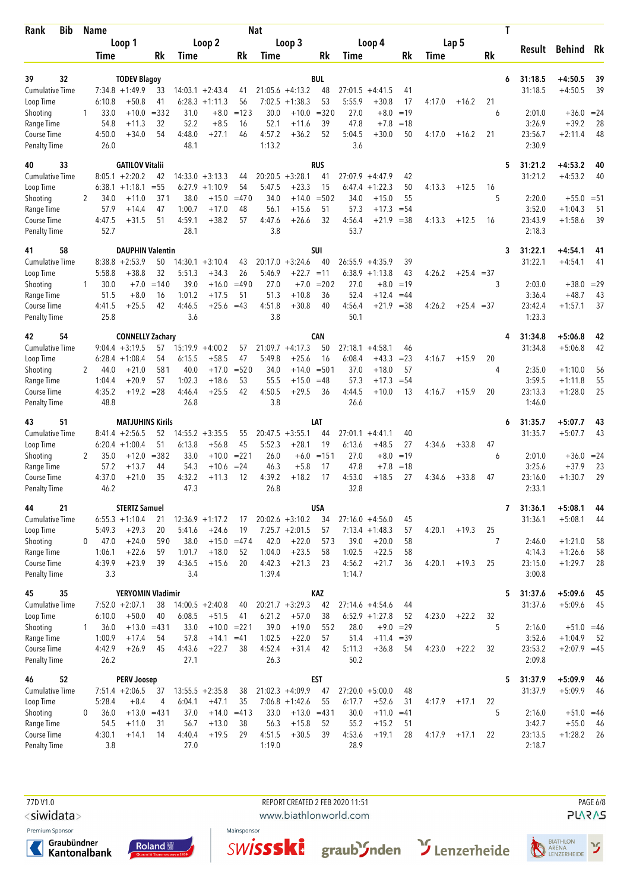| Bib<br>Rank                         |              | <b>Name</b>    |                                        |               |                |                               |                     | <b>Nat</b>       |                                         |                  |                |                                        |             |             |              | Τ       |                         |                        |          |
|-------------------------------------|--------------|----------------|----------------------------------------|---------------|----------------|-------------------------------|---------------------|------------------|-----------------------------------------|------------------|----------------|----------------------------------------|-------------|-------------|--------------|---------|-------------------------|------------------------|----------|
|                                     |              |                | Loop 1                                 |               |                | Loop 2                        |                     |                  | Loop 3                                  |                  |                | Loop 4                                 |             |             | Lap 5        |         | Result                  | Behind Rk              |          |
|                                     |              | Time           |                                        | Rk            | Time           |                               | Rk                  | Time             |                                         | Rk               | Time           |                                        | Rk          | <b>Time</b> |              | Rk      |                         |                        |          |
| 39<br>32                            |              |                | <b>TODEV Blagoy</b>                    |               |                |                               |                     |                  |                                         | <b>BUL</b>       |                |                                        |             |             |              |         | 31:18.5<br>6            | $+4:50.5$              | 39       |
| <b>Cumulative Time</b>              |              |                | $7:34.8 +1:49.9$                       | 33            |                | $14:03.1 + 2:43.4$            | 41                  |                  | $21:05.6 +4:13.2$                       | 48               | 27:01.5        | $+4:41.5$                              | 41          |             |              |         | 31:18.5                 | $+4:50.5$              | 39       |
| Loop Time                           |              | 6:10.8         | $+50.8$                                | 41            |                | $6:28.3 +1:11.3$              | 56                  | 7:02.5           | $+1:38.3$                               | 53               | 5:55.9         | $+30.8$                                | 17          | 4:17.0      | $+16.2$      | 21      |                         |                        |          |
| Shooting                            | 1            | 33.0           | $+10.0$                                | $= 332$       | 31.0           | $+8.0$                        | $=123$              | 30.0             | $+10.0$                                 | $= 320$          | 27.0           | $+8.0$                                 | $=19$       |             |              | 6       | 2:01.0                  | $+36.0 = 24$           |          |
| Range Time                          |              | 54.8           | $+11.3$                                | 32            | 52.2           | $+8.5$                        | 16                  | 52.1             | $+11.6$                                 | 39               | 47.8           | $+7.8$                                 | $=18$       |             |              |         | 3:26.9                  | $+39.2$                | 28       |
| Course Time<br><b>Penalty Time</b>  |              | 4:50.0<br>26.0 | $+34.0$                                | 54            | 4:48.0<br>48.1 | $+27.1$                       | 46                  | 4:57.2<br>1:13.2 | $+36.2$                                 | 52               | 5:04.5<br>3.6  | $+30.0$                                | 50          | 4:17.0      | $+16.2$      | 21      | 23:56.7<br>2:30.9       | $+2:11.4$              | 48       |
| 33<br>40                            |              |                | <b>GATILOV Vitalii</b>                 |               |                |                               |                     |                  |                                         | <b>RUS</b>       |                |                                        |             |             |              |         | 31:21.2<br>5            | $+4:53.2$              | 40       |
| <b>Cumulative Time</b>              |              |                | $8:05.1 + 2:20.2$                      | 42            |                | $14:33.0 + 3:13.3$            | 44                  | 20:20.5          | $+3:28.1$                               | 41               | 27:07.9        | $+4:47.9$                              | 42          |             |              |         | 31:21.2                 | $+4:53.2$              | 40       |
| Loop Time<br>Shooting               | 2            | 34.0           | $6:38.1 + 1:18.1$<br>$+11.0$           | $= 55$<br>371 | 38.0           | $6:27.9$ +1:10.9<br>$+15.0$   | 54<br>$=470$        | 5:47.5<br>34.0   | $+23.3$<br>$+14.0$                      | 15<br>$= 502$    | 6:47.4<br>34.0 | $+1:22.3$<br>$+15.0$                   | 50<br>55    | 4:13.3      | $+12.5$      | 16<br>5 | 2:20.0                  | $+55.0 = 51$           |          |
| Range Time                          |              | 57.9           | $+14.4$                                | 47            | 1:00.7         | $+17.0$                       | 48                  | 56.1             | $+15.6$                                 | 51               | 57.3           | $+17.3$                                | $= 54$      |             |              |         | 3:52.0                  | $+1:04.3$              | 51       |
| Course Time                         |              | 4:47.5         | $+31.5$                                | 51            | 4:59.1         | $+38.2$                       | 57                  | 4:47.6           | $+26.6$                                 | 32               | 4:56.4         | $+21.9$                                | $=38$       | 4:13.3      | $+12.5$      | 16      | 23:43.9                 | $+1:58.6$              | 39       |
| <b>Penalty Time</b>                 |              | 52.7           |                                        |               | 28.1           |                               |                     | 3.8              |                                         |                  | 53.7           |                                        |             |             |              |         | 2:18.3                  |                        |          |
| 58<br>41                            |              |                | <b>DAUPHIN Valentin</b>                |               |                |                               |                     |                  |                                         | SUI              |                |                                        |             |             |              |         | 31:22.1<br>3            | $+4:54.1$              | 41       |
| Cumulative Time<br>Loop Time        |              | 5:58.8         | $8:38.8 + 2:53.9$<br>$+38.8$           | 50<br>32      | 5:51.3         | $14:30.1 + 3:10.4$<br>$+34.3$ | 43<br>26            | 5:46.9           | $20:17.0 + 3:24.6$<br>$+22.7 = 11$      | 40               | 6:38.9         | $26:55.9 + 4:35.9$<br>$+1:13.8$        | 39<br>43    | 4:26.2      | $+25.4 = 37$ |         | 31:22.1                 | $+4:54.1$              | 41       |
| Shooting                            | 1            | 30.0           | $+7.0$                                 | $=140$        | 39.0           | $+16.0$                       | $=490$              | 27.0             | $+7.0$                                  | $= 202$          | 27.0           | $+8.0$                                 | $=19$       |             |              | 3       | 2:03.0                  | $+38.0 = 29$           |          |
| Range Time                          |              | 51.5           | $+8.0$                                 | 16            | 1:01.2         | $+17.5$                       | 51                  | 51.3             | $+10.8$                                 | 36               | 52.4           | $+12.4$                                | $=44$       |             |              |         | 3:36.4                  | $+48.7$                | 43       |
| Course Time<br><b>Penalty Time</b>  |              | 4:41.5<br>25.8 | $+25.5$                                | 42            | 4:46.5<br>3.6  | $+25.6 = 43$                  |                     | 4:51.8<br>3.8    | $+30.8$                                 | 40               | 4:56.4<br>50.1 | $+21.9$                                | $=38$       | 4:26.2      | $+25.4 = 37$ |         | 23:42.4<br>1:23.3       | $+1:57.1$              | 37       |
| 54<br>42                            |              |                | <b>CONNELLY Zachary</b>                |               |                |                               |                     |                  |                                         | CAN              |                |                                        |             |             |              |         | 31:34.8<br>4            | $+5:06.8$              | 42       |
| <b>Cumulative Time</b>              |              |                | $9:04.4 + 3:19.5$                      | 57            |                | $15:19.9 + 4:00.2$            | 57                  |                  | $21:09.7 + 4:17.3$                      | 50               |                | $27:18.1 + 4:58.1$                     | 46          |             |              |         | 31:34.8                 | $+5:06.8$              | 42       |
| Loop Time                           |              |                | $6:28.4 +1:08.4$                       | 54            | 6:15.5         | $+58.5$                       | 47                  | 5:49.8           | $+25.6$                                 | 16               | 6:08.4         | $+43.3$                                | $= 23$      | 4:16.7      | $+15.9$      | 20      |                         |                        |          |
| Shooting                            | 2            | 44.0           | $+21.0$                                | 581           | 40.0           | $+17.0$                       | $= 520$             | 34.0             | $+14.0$                                 | $= 501$          | 37.0           | $+18.0$                                | 57          |             |              | 4       | 2:35.0                  | $+1:10.0$              | 56       |
| Range Time                          |              | 1:04.4         | $+20.9$<br>$+19.2 = 28$                | 57            | 1:02.3         | $+18.6$<br>$+25.5$            | 53<br>42            | 55.5<br>4:50.5   | $+15.0$                                 | $=48$<br>36      | 57.3           | $+17.3$                                | $= 54$      |             |              | 20      | 3:59.5                  | $+1:11.8$              | 55<br>25 |
| Course Time<br><b>Penalty Time</b>  |              | 4:35.2<br>48.8 |                                        |               | 4:46.4<br>26.8 |                               |                     | 3.8              | $+29.5$                                 |                  | 4:44.5<br>26.6 | $+10.0$                                | 13          | 4:16.7      | $+15.9$      |         | 23:13.3<br>1:46.0       | $+1:28.0$              |          |
| 51<br>43                            |              |                | <b>MATJUHINS Kirils</b>                |               |                |                               |                     |                  |                                         | LAT              |                |                                        |             |             |              |         | 31:35.7<br>6            | $+5:07.7$              | 43       |
| <b>Cumulative Time</b>              |              |                | $8:41.4 +2:56.5$                       | 52            | 14:55.2        | $+3:35.5$                     | 55                  | 20:47.5          | $+3:55.1$                               | 44               | 27:01.1        | $+4:41.1$                              | 40          |             |              |         | 31:35.7                 | $+5:07.7$              | 43       |
| Loop Time<br>Shooting               | 2            | 35.0           | $6:20.4 +1:00.4$<br>$+12.0$            | 51<br>$= 382$ | 6:13.8<br>33.0 | $+56.8$                       | 45<br>$+10.0 = 221$ | 5:52.3<br>26.0   | $+28.1$<br>$+6.0$                       | 19<br>$=151$     | 6:13.6<br>27.0 | $+48.5$<br>$+8.0$                      | 27<br>$=19$ | 4:34.6      | $+33.8$      | 47<br>6 | 2:01.0                  | $+36.0 = 24$           |          |
| Range Time                          |              | 57.2           | $+13.7$                                | 44            | 54.3           | $+10.6$                       | $= 24$              | 46.3             | $+5.8$                                  | 17               | 47.8           | $+7.8$                                 | $=18$       |             |              |         | 3:25.6                  | $+37.9$                | 23       |
| Course Time                         |              | 4:37.0         | $+21.0$                                | 35            | 4:32.2         | $+11.3$                       | 12                  | 4:39.2           | $+18.2$                                 | 17               | 4:53.0         | $+18.5$                                | 27          | 4:34.6      | $+33.8$      | 47      | 23:16.0                 | $+1:30.7$              | 29       |
| <b>Penalty Time</b>                 |              | 46.2           |                                        |               | 47.3           |                               |                     | 26.8             |                                         |                  | 32.8           |                                        |             |             |              |         | 2:33.1                  |                        |          |
| 21<br>44                            |              |                | <b>STERTZ Samuel</b>                   |               |                |                               |                     |                  |                                         | <b>USA</b>       |                |                                        |             |             |              |         | $\mathbf{7}$<br>31:36.1 | $+5:08.1$              | 44       |
| Cumulative Time<br>Loop Time        |              | 5:49.3         | $6:55.3 +1:10.4$<br>$+29.3$            | 21<br>20      | 5:41.6         | $12:36.9 + 1:17.2$<br>$+24.6$ | 17<br>19            |                  | $20:02.6 + 3:10.2$<br>$7:25.7 + 2:01.5$ | 34<br>57         |                | $27:16.0 +4:56.0$<br>$7:13.4 + 1:48.3$ | 45<br>57    | 4:20.1      | $+19.3$      | 25      | 31:36.1                 | $+5:08.1$              | 44       |
| Shooting                            | 0            | 47.0           | $+24.0$                                | 590           | 38.0           |                               | $+15.0 = 474$       | 42.0             | $+22.0$                                 | 573              | 39.0           | $+20.0$                                | 58          |             |              | 7       | 2:46.0                  | $+1:21.0$              | 58       |
| Range Time                          |              | 1:06.1         | $+22.6$                                | 59            | 1:01.7         | $+18.0$                       | 52                  | 1:04.0           | $+23.5$                                 | 58               | 1:02.5         | $+22.5$                                | 58          |             |              |         | 4:14.3                  | $+1:26.6$              | 58       |
| Course Time                         |              | 4:39.9         | $+23.9$                                | 39            | 4:36.5         | $+15.6$                       | 20                  | 4:42.3           | $+21.3$                                 | 23               | 4:56.2         | $+21.7$                                | 36          | 4:20.1      | $+19.3$      | 25      | 23:15.0                 | $+1:29.7$              | 28       |
| <b>Penalty Time</b>                 |              | 3.3            |                                        |               | 3.4            |                               |                     | 1:39.4           |                                         |                  | 1:14.7         |                                        |             |             |              |         | 3:00.8                  |                        |          |
| 35<br>45                            |              |                | YERYOMIN Vladimir                      |               |                |                               |                     |                  |                                         | KAZ              |                |                                        |             |             |              |         | 31:37.6<br>5            | $+5:09.6$              | 45       |
| <b>Cumulative Time</b><br>Loop Time |              | 6:10.0         | $7:52.0 + 2:07.1$<br>$+50.0$           | 38<br>40      | 6:08.5         | $14:00.5 + 2:40.8$<br>$+51.5$ | 40<br>41            | 6:21.2           | $20:21.7 + 3:29.3$<br>$+57.0$           | 42<br>38         |                | $27:14.6 + 4:54.6$<br>$6:52.9$ +1:27.8 | 44<br>52    | 4:23.0      | $+22.2$      | 32      | 31:37.6                 | $+5:09.6$              | 45       |
| Shooting                            | $\mathbf{1}$ | 36.0           | $+13.0$                                | $=431$        | 33.0           | $+10.0 = 221$                 |                     | 39.0             | $+19.0$                                 | 552              | 28.0           |                                        | $+9.0 = 29$ |             |              | 5       | 2:16.0                  | $+51.0 = 46$           |          |
| Range Time                          |              | 1:00.9         | $+17.4$                                | 54            | 57.8           | $+14.1 = 41$                  |                     | 1:02.5           | $+22.0$                                 | 57               | 51.4           | $+11.4 = 39$                           |             |             |              |         | 3:52.6                  | $+1:04.9$              | 52       |
| Course Time                         |              | 4:42.9         | $+26.9$                                | 45            | 4:43.6         | $+22.7$                       | 38                  | 4:52.4           | $+31.4$                                 | 42               | 5:11.3         | $+36.8$                                | 54          | 4:23.0      | $+22.2$      | 32      | 23:53.2                 | $+2:07.9 = 45$         |          |
| <b>Penalty Time</b>                 |              | 26.2           |                                        |               | 27.1           |                               |                     | 26.3             |                                         |                  | 50.2           |                                        |             |             |              |         | 2:09.8                  |                        |          |
| 52<br>46<br><b>Cumulative Time</b>  |              |                | <b>PERV Joosep</b><br>$7:51.4 +2:06.5$ | 37            |                | $13:55.5 + 2:35.8$            | 38                  |                  | $21:02.3 +4:09.9$                       | <b>EST</b><br>47 |                | $27:20.0 + 5:00.0$                     | 48          |             |              |         | 5<br>31:37.9<br>31:37.9 | $+5:09.9$<br>$+5:09.9$ | 46<br>46 |
| Loop Time                           |              | 5:28.4         | $+8.4$                                 | 4             | 6:04.1         | $+47.1$                       | 35                  |                  | $7:06.8 + 1:42.6$                       | 55               | 6:17.7         | $+52.6$                                | 31          | 4:17.9      | $+17.1$      | 22      |                         |                        |          |
| Shooting                            | 0            | 36.0           | $+13.0 = 431$                          |               | 37.0           |                               | $+14.0 = 413$       | 33.0             | $+13.0 = 431$                           |                  | 30.0           | $+11.0 = 41$                           |             |             |              | 5       | 2:16.0                  | $+51.0 = 46$           |          |
| Range Time                          |              | 54.5           | $+11.0$                                | 31            | 56.7           | $+13.0$                       | 38                  | 56.3             | $+15.8$                                 | 52               | 55.2           | $+15.2$                                | 51          |             |              |         | 3:42.7                  | $+55.0$                | - 46     |
| Course Time                         |              | 4:30.1         | $+14.1$                                | 14            | 4:40.4         | $+19.5$                       | 29                  | 4:51.5           | $+30.5$                                 | 39               | 4:53.6         | $+19.1$                                | 28          | 4:17.9      | $+17.1$      | 22      | 23:13.5                 | $+1:28.2$              | -26      |
| <b>Penalty Time</b>                 |              | 3.8            |                                        |               | 27.0           |                               |                     | 1:19.0           |                                         |                  | 28.9           |                                        |             |             |              |         | 2:18.7                  |                        |          |

77D V1.0 REPORT CREATED 2 FEB 2020 11:51 PAGE 6/8

<siwidata>

Premium Sponsor







www.biathlonworld.com



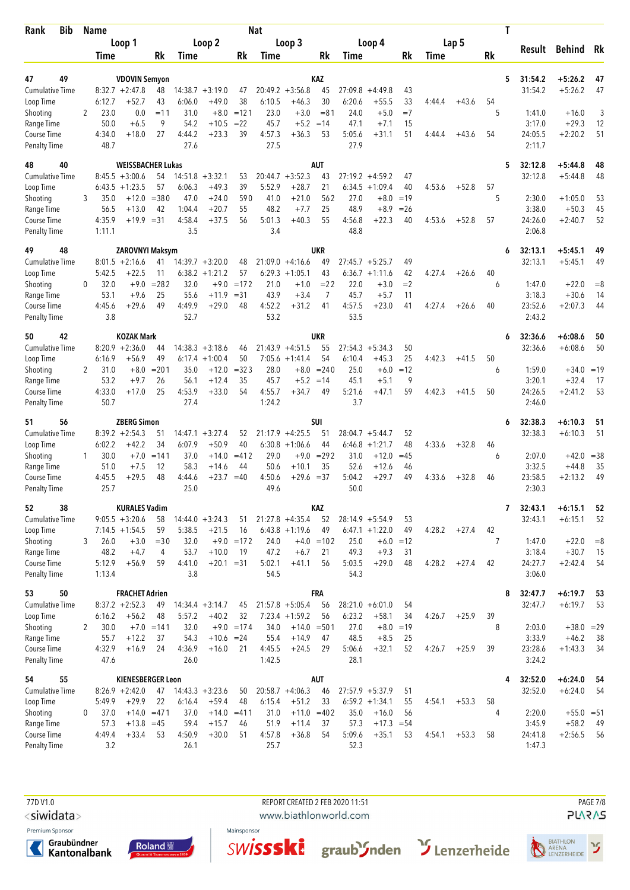| <b>Bib</b><br>Rank                  |              | <b>Name</b>    |                                        |               |                |                                        |               | <b>Nat</b>     |                                        |                  |                |                                         |                |        |         | Τ       |                    |                        |          |
|-------------------------------------|--------------|----------------|----------------------------------------|---------------|----------------|----------------------------------------|---------------|----------------|----------------------------------------|------------------|----------------|-----------------------------------------|----------------|--------|---------|---------|--------------------|------------------------|----------|
|                                     |              |                | Loop 1                                 |               |                | Loop 2                                 |               |                | Loop 3                                 |                  |                | Loop 4                                  |                |        | Lap 5   |         | Result             | Behind Rk              |          |
|                                     |              | Time           |                                        | Rk            | Time           |                                        | Rk            | Time           |                                        | Rk               | Time           |                                         | Rk             | Time   |         | Rk      |                    |                        |          |
| 49<br>47                            |              |                | <b>VDOVIN Semyon</b>                   |               |                |                                        |               |                |                                        | KAZ              |                |                                         |                |        |         | 5       | 31:54.2            | $+5:26.2$              | 47       |
| <b>Cumulative Time</b>              |              |                | $8:32.7 + 2:47.8$                      | 48            |                | $14:38.7 + 3:19.0$                     | 47            |                | $20:49.2 + 3:56.8$                     | 45               | 27:09.8        | $+4:49.8$                               | 43             |        |         |         | 31:54.2            | $+5:26.2$              | 47       |
| Loop Time                           |              | 6:12.7         | $+52.7$                                | 43            | 6:06.0         | $+49.0$                                | 38            | 6:10.5         | $+46.3$                                | 30               | 6:20.6         | $+55.5$                                 | 33             | 4:44.4 | $+43.6$ | 54      |                    |                        |          |
| Shooting                            | 2            | 23.0           | 0.0                                    | $=11$         | 31.0           | $+8.0$                                 | $=121$        | 23.0           | $+3.0$                                 | $= 81$           | 24.0           | $+5.0$                                  | $=7$           |        |         | 5       | 1:41.0             | $+16.0$                | 3        |
| Range Time                          |              | 50.0           | $+6.5$                                 | 9             | 54.2           | $+10.5$                                | $=22$         | 45.7           | $+5.2$                                 | $=14$            | 47.1           | $+7.1$                                  | 15             |        |         |         | 3:17.0             | $+29.3$                | 12       |
| Course Time<br><b>Penalty Time</b>  |              | 4:34.0<br>48.7 | $+18.0$                                | 27            | 4:44.2<br>27.6 | $+23.3$                                | 39            | 4:57.3<br>27.5 | $+36.3$                                | 53               | 5:05.6<br>27.9 | $+31.1$                                 | 51             | 4:44.4 | $+43.6$ | 54      | 24:05.5<br>2:11.7  | $+2:20.2$              | 51       |
| 40<br>48                            |              |                | <b>WEISSBACHER Lukas</b>               |               |                |                                        |               |                |                                        | <b>AUT</b>       |                |                                         |                |        |         | 5       | 32:12.8            | $+5:44.8$              | 48       |
| <b>Cumulative Time</b>              |              |                | $8:45.5 + 3:00.6$                      | 54            |                | $14:51.8 + 3:32.1$                     | 53            |                | $20:44.7 + 3:52.3$                     | 43               |                | $27:19.2 +4:59.2$                       | 47             |        |         |         | 32:12.8            | $+5:44.8$              | 48       |
| Loop Time                           |              | 6:43.5         | $+1:23.5$                              | 57            | 6:06.3         | $+49.3$                                | 39            | 5:52.9         | $+28.7$                                | 21               |                | $6:34.5 +1:09.4$                        | 40             | 4:53.6 | $+52.8$ | 57      |                    |                        |          |
| Shooting<br>Range Time              | 3            | 35.0<br>56.5   | $+12.0$<br>$+13.0$                     | $= 380$<br>42 | 47.0<br>1:04.4 | $+24.0$<br>$+20.7$                     | 590<br>55     | 41.0<br>48.2   | $+21.0$<br>$+7.7$                      | 562<br>25        | 27.0<br>48.9   | $+8.0$<br>$+8.9$                        | $=19$<br>$=26$ |        |         | 5       | 2:30.0<br>3:38.0   | $+1:05.0$<br>$+50.3$   | 53<br>45 |
| Course Time                         |              | 4:35.9         | $+19.9 = 31$                           |               | 4:58.4         | $+37.5$                                | 56            | 5:01.3         | $+40.3$                                | 55               | 4:56.8         | $+22.3$                                 | 40             | 4:53.6 | $+52.8$ | 57      | 24:26.0            | $+2:40.7$              | 52       |
| <b>Penalty Time</b>                 |              | 1:11.1         |                                        |               | 3.5            |                                        |               | 3.4            |                                        |                  | 48.8           |                                         |                |        |         |         | 2:06.8             |                        |          |
| 48<br>49                            |              |                | <b>ZAROVNYI Maksym</b>                 |               |                |                                        |               |                |                                        | UKR              |                |                                         |                |        |         | 6       | 32:13.1            | $+5:45.1$              | 49       |
| <b>Cumulative Time</b>              |              | 5:42.5         | $8:01.5 +2:16.6$<br>$+22.5$            | 41<br>11      |                | $14:39.7 + 3:20.0$<br>$6:38.2 +1:21.2$ | 48<br>57      |                | $21:09.0 +4:16.6$<br>$6:29.3 +1:05.1$  | 49<br>43         | 27:45.7        | $+5:25.7$                               | 49<br>42       | 4:27.4 |         | 40      | 32:13.1            | $+5:45.1$              | 49       |
| Loop Time<br>Shooting               | $\mathbf{0}$ | 32.0           | $+9.0$                                 | $= 282$       | 32.0           |                                        | $+9.0 = 172$  | 21.0           | $+1.0$                                 | $= 22$           | 22.0           | $6:36.7 +1:11.6$<br>$+3.0$              | $=2$           |        | $+26.6$ | 6       | 1:47.0             | $+22.0$                | $= 8$    |
| Range Time                          |              | 53.1           | $+9.6$                                 | 25            | 55.6           | $+11.9$                                | $= 31$        | 43.9           | $+3.4$                                 | 7                | 45.7           | $+5.7$                                  | 11             |        |         |         | 3:18.3             | $+30.6$                | 14       |
| Course Time                         |              | 4:45.6         | $+29.6$                                | 49            | 4:49.9         | $+29.0$                                | 48            | 4:52.2         | $+31.2$                                | 41               | 4:57.5         | $+23.0$                                 | 41             | 4:27.4 | $+26.6$ | 40      | 23:52.6            | $+2:07.3$              | 44       |
| <b>Penalty Time</b>                 |              | 3.8            |                                        |               | 52.7           |                                        |               | 53.2           |                                        |                  | 53.5           |                                         |                |        |         |         | 2:43.2             |                        |          |
| 42<br>50                            |              |                | <b>KOZAK Mark</b>                      |               |                |                                        |               |                |                                        | UKR              |                |                                         |                |        |         | 6       | 32:36.6            | $+6:08.6$              | 50       |
| <b>Cumulative Time</b>              |              |                | $8:20.9 +2:36.0$                       | 44            |                | $14:38.3 + 3:18.6$                     | 46            |                | $21:43.9 + 4:51.5$                     | 55               |                | $27:54.3 + 5:34.3$                      | 50             |        |         |         | 32:36.6            | $+6:08.6$              | 50       |
| Loop Time<br>Shooting               | 2            | 6:16.9<br>31.0 | $+56.9$<br>$+8.0$                      | 49<br>$= 201$ | 6:17.4<br>35.0 | $+1:00.4$<br>$+12.0$                   | 50<br>$= 323$ | 28.0           | $7:05.6 +1:41.4$<br>$+8.0$             | 54<br>$= 240$    | 6:10.4<br>25.0 | $+45.3$<br>$+6.0$                       | 25<br>$=12$    | 4:42.3 | $+41.5$ | 50<br>6 | 1:59.0             | $+34.0 = 19$           |          |
| Range Time                          |              | 53.2           | $+9.7$                                 | 26            | 56.1           | $+12.4$                                | 35            | 45.7           | $+5.2$                                 | $=14$            | 45.1           | $+5.1$                                  | 9              |        |         |         | 3:20.1             | $+32.4$                | 17       |
| Course Time                         |              | 4:33.0         | $+17.0$                                | 25            | 4:53.9         | $+33.0$                                | 54            | 4:55.7         | $+34.7$                                | 49               | 5:21.6         | $+47.1$                                 | 59             | 4:42.3 | $+41.5$ | 50      | 24:26.5            | $+2:41.2$              | 53       |
| <b>Penalty Time</b>                 |              | 50.7           |                                        |               | 27.4           |                                        |               | 1:24.2         |                                        |                  | 3.7            |                                         |                |        |         |         | 2:46.0             |                        |          |
| 56<br>51                            |              |                | <b>ZBERG Simon</b>                     |               |                |                                        |               |                |                                        | SUI              |                |                                         |                |        |         | 6       | 32:38.3            | $+6:10.3$              | 51       |
| <b>Cumulative Time</b><br>Loop Time |              | 6:02.2         | $8:39.2 +2:54.3$<br>$+42.2$            | 51<br>34      | 6:07.9         | $14:47.1 + 3:27.4$<br>$+50.9$          | 52<br>40      |                | $21:17.9 + 4:25.5$<br>$6:30.8 +1:06.6$ | 51<br>44         | 6:46.8         | $28:04.7 + 5:44.7$<br>$+1:21.7$         | 52<br>48       | 4:33.6 | $+32.8$ | 46      | 32:38.3            | $+6:10.3$              | 51       |
| Shooting                            | 1            | 30.0           | $+7.0$                                 | $=141$        | 37.0           | $+14.0$                                | $= 412$       | 29.0           | $+9.0$                                 | $= 292$          | 31.0           | $+12.0$                                 | $=45$          |        |         | 6       | 2:07.0             | $+42.0$                | $=38$    |
| Range Time                          |              | 51.0           | $+7.5$                                 | 12            | 58.3           | $+14.6$                                | 44            | 50.6           | $+10.1$                                | 35               | 52.6           | $+12.6$                                 | 46             |        |         |         | 3:32.5             | $+44.8$                | 35       |
| Course Time                         |              | 4:45.5         | $+29.5$                                | 48            | 4:44.6         | $+23.7$                                | $=40$         | 4:50.6         | $+29.6$                                | $= 37$           | 5:04.2         | $+29.7$                                 | 49             | 4:33.6 | $+32.8$ | 46      | 23:58.5            | $+2:13.2$              | 49       |
| <b>Penalty Time</b>                 |              | 25.7           |                                        |               | 25.0           |                                        |               | 49.6           |                                        |                  | 50.0           |                                         |                |        |         |         | 2:30.3             |                        |          |
| 52<br>38                            |              |                | <b>KURALES Vadim</b>                   |               |                |                                        |               |                |                                        | KAZ              |                |                                         |                |        |         | 7       | 32:43.1            | $+6:15.1$              | 52       |
| Cumulative Time<br>Loop Time        |              |                | $9:05.5 + 3:20.6$<br>$7:14.5 + 1:54.5$ | 58<br>59      | 5:38.5         | $14:44.0 + 3:24.3$<br>$+21.5$          | 51<br>16      |                | $21:27.8 +4:35.4$<br>$6:43.8 +1:19.6$  | 52<br>49         |                | $28:14.9 + 5:54.9$<br>$6:47.1 + 1:22.0$ | 53<br>49       | 4:28.2 | $+27.4$ | 42      | 32:43.1            | $+6:15.1$              | 52       |
| Shooting                            | 3            | 26.0           | $+3.0$                                 | $=$ 30        | 32.0           |                                        | $+9.0 = 172$  | 24.0           |                                        | $+4.0 = 102$     | 25.0           |                                         | $+6.0 = 12$    |        |         | 7       | 1:47.0             | $+22.0$                | $= 8$    |
| Range Time                          |              | 48.2           | $+4.7$                                 | 4             | 53.7           | $+10.0$                                | 19            | 47.2           | $+6.7$                                 | 21               | 49.3           | $+9.3$                                  | 31             |        |         |         | 3:18.4             | $+30.7$                | 15       |
| Course Time                         |              | 5:12.9         | $+56.9$                                | 59            | 4:41.0         | $+20.1 = 31$                           |               | 5:02.1         | $+41.1$                                | 56               | 5:03.5         | $+29.0$                                 | 48             | 4:28.2 | $+27.4$ | 42      | 24:27.7            | $+2:42.4$              | 54       |
| <b>Penalty Time</b>                 |              | 1:13.4         |                                        |               | 3.8            |                                        |               | 54.5           |                                        |                  | 54.3           |                                         |                |        |         |         | 3:06.0             |                        |          |
| 50<br>53                            |              |                | <b>FRACHET Adrien</b>                  |               |                |                                        |               |                |                                        | FRA              |                |                                         |                |        |         | 8       | 32:47.7            | $+6:19.7$              | 53       |
| <b>Cumulative Time</b><br>Loop Time |              | 6:16.2         | $8:37.2 +2:52.3$<br>$+56.2$            | 49<br>48      | 5:57.2         | $14:34.4 + 3:14.7$<br>$+40.2$          | 45<br>32      |                | $21:57.8 + 5:05.4$<br>$7:23.4 +1:59.2$ | 56<br>56         | 6:23.2         | $28:21.0 + 6:01.0$<br>$+58.1$           | 54<br>34       | 4:26.7 | $+25.9$ | 39      | 32:47.7            | $+6:19.7$              | 53       |
| Shooting                            | 2            | 30.0           |                                        | $+7.0 = 141$  | 32.0           |                                        | $+9.0 = 174$  | 34.0           | $+14.0$                                | $= 501$          | 27.0           | $+8.0$                                  | $=19$          |        |         | 8       | 2:03.0             | $+38.0 = 29$           |          |
| Range Time                          |              | 55.7           | $+12.2$                                | 37            | 54.3           | $+10.6 = 24$                           |               | 55.4           | $+14.9$                                | 47               | 48.5           | $+8.5$                                  | 25             |        |         |         | 3:33.9             | $+46.2$                | 38       |
| Course Time                         |              | 4:32.9         | $+16.9$                                | 24            | 4:36.9         | $+16.0$                                | 21            | 4:45.5         | $+24.5$                                | 29               | 5:06.6         | $+32.1$                                 | 52             | 4:26.7 | $+25.9$ | 39      | 23:28.6            | $+1:43.3$              | 34       |
| <b>Penalty Time</b>                 |              | 47.6           |                                        |               | 26.0           |                                        |               | 1:42.5         |                                        |                  | 28.1           |                                         |                |        |         |         | 3:24.2             |                        |          |
| 55<br>54<br><b>Cumulative Time</b>  |              |                | KIENESBERGER Leon<br>$8:26.9 +2:42.0$  |               |                | $14:43.3 + 3:23.6$                     | 50            |                | $20:58.7 +4:06.3$                      | <b>AUT</b><br>46 |                | $27:57.9 + 5:37.9$                      | 51             |        |         | 4       | 32:52.0<br>32:52.0 | $+6:24.0$<br>$+6:24.0$ | -54      |
| Loop Time                           |              | 5:49.9         | $+29.9$                                | 47<br>22      | 6:16.4         | $+59.4$                                | 48            | 6:15.4         | $+51.2$                                | 33               |                | $6:59.2 +1:34.1$                        | 55             | 4:54.1 | $+53.3$ | 58      |                    |                        | 54       |
| Shooting                            | 0            | 37.0           | $+14.0 = 471$                          |               | 37.0           | $+14.0 = 411$                          |               | 31.0           | $+11.0$                                | $=402$           | 35.0           | $+16.0$                                 | 56             |        |         | 4       | 2:20.0             | $+55.0 = 51$           |          |
| Range Time                          |              | 57.3           | $+13.8 = 45$                           |               | 59.4           | $+15.7$                                | 46            | 51.9           | $+11.4$                                | 37               | 57.3           | $+17.3 = 54$                            |                |        |         |         | 3:45.9             | $+58.2$                | - 49     |
| Course Time                         |              | 4:49.4         | $+33.4$                                | 53            | 4:50.9         | $+30.0$                                | 51            | 4:57.8         | $+36.8$                                | 54               | 5:09.6         | $+35.1$                                 | 53             | 4:54.1 | $+53.3$ | 58      | 24:41.8            | $+2:56.5$              | 56       |
| <b>Penalty Time</b>                 |              | 3.2            |                                        |               | 26.1           |                                        |               | 25.7           |                                        |                  | 52.3           |                                         |                |        |         |         | 1:47.3             |                        |          |

77D V1.0 REPORT CREATED 2 FEB 2020 11:51 PAGE 7/8

<siwidata>

Premium Sponsor







www.biathlonworld.com